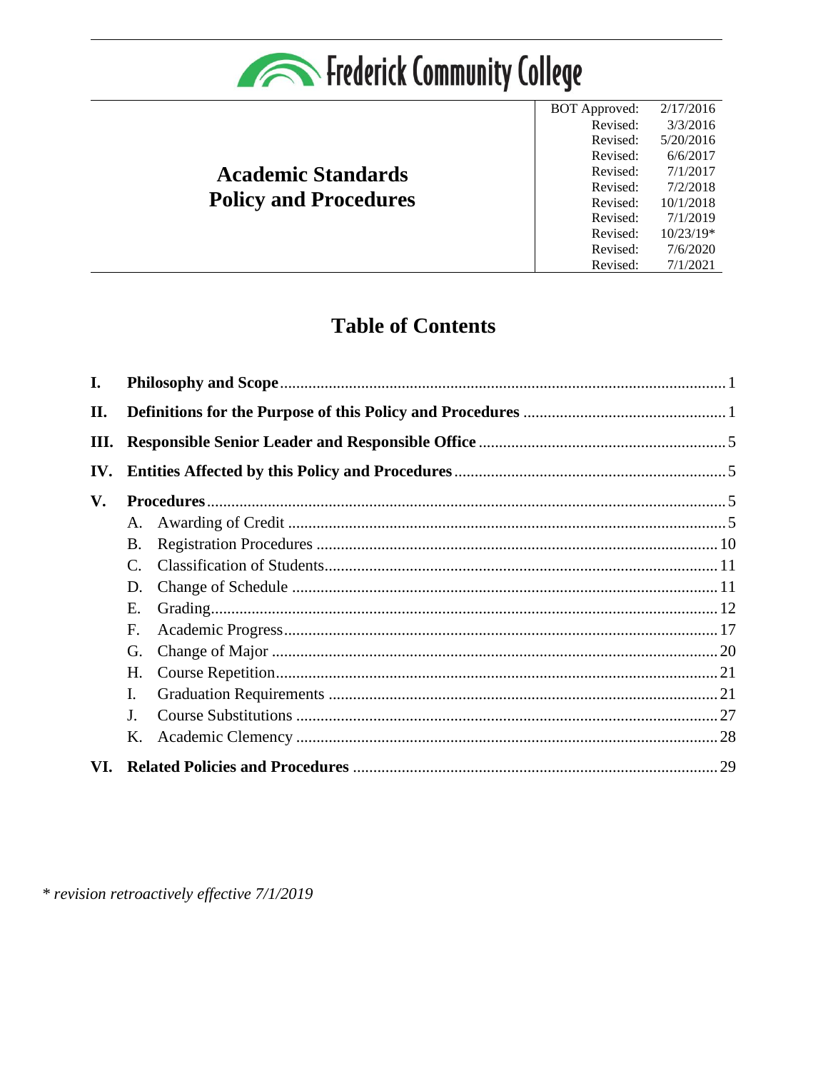

# **Academic Standards Policy and Procedures**

**BOT** Approved: 2/17/2016 Revised:  $3/3/2016$ Revised:  $5/20/2016$  $6/6/2017$ Revised:  $7/1/2017$ Revised:  $7/2/2018$ Revised: Revised: 10/1/2018 Revised: 7/1/2019 Revised:  $10/23/19*$ Revised:  $7/6/2020$ Revised:  $7/1/2021$ 

# **Table of Contents**

| $\mathbf{I}$ . |                 |  |  |  |  |  |  |
|----------------|-----------------|--|--|--|--|--|--|
| II.            |                 |  |  |  |  |  |  |
| Ш.             |                 |  |  |  |  |  |  |
| IV.            |                 |  |  |  |  |  |  |
| V.             |                 |  |  |  |  |  |  |
|                | A.              |  |  |  |  |  |  |
|                | <b>B.</b>       |  |  |  |  |  |  |
|                | $\mathcal{C}$ . |  |  |  |  |  |  |
|                | D.              |  |  |  |  |  |  |
|                | Ε.              |  |  |  |  |  |  |
|                | F.              |  |  |  |  |  |  |
|                | G.              |  |  |  |  |  |  |
|                | Н.              |  |  |  |  |  |  |
|                | $\mathbf{I}$ .  |  |  |  |  |  |  |
|                | J.              |  |  |  |  |  |  |
|                | K.              |  |  |  |  |  |  |
| VI.            |                 |  |  |  |  |  |  |

\* revision retroactively effective 7/1/2019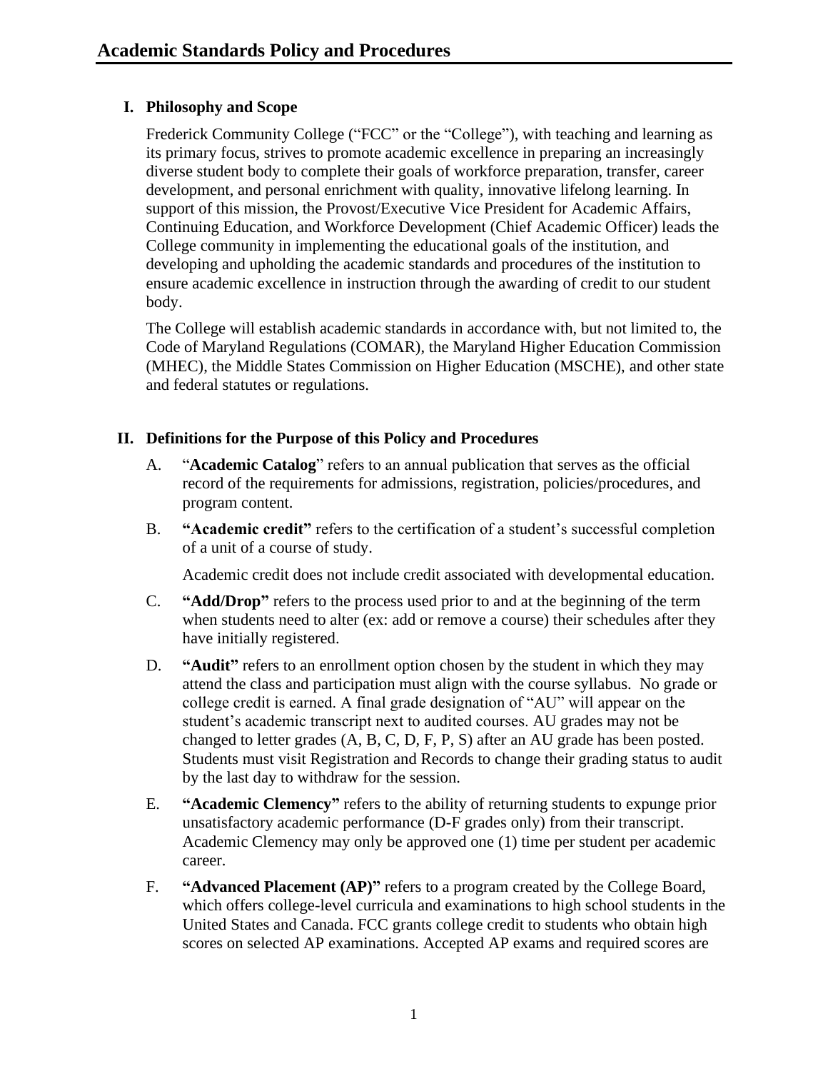## <span id="page-1-0"></span>**I. Philosophy and Scope**

Frederick Community College ("FCC" or the "College"), with teaching and learning as its primary focus, strives to promote academic excellence in preparing an increasingly diverse student body to complete their goals of workforce preparation, transfer, career development, and personal enrichment with quality, innovative lifelong learning. In support of this mission, the Provost/Executive Vice President for Academic Affairs, Continuing Education, and Workforce Development (Chief Academic Officer) leads the College community in implementing the educational goals of the institution, and developing and upholding the academic standards and procedures of the institution to ensure academic excellence in instruction through the awarding of credit to our student body.

The College will establish academic standards in accordance with, but not limited to, the Code of Maryland Regulations (COMAR), the Maryland Higher Education Commission (MHEC), the Middle States Commission on Higher Education (MSCHE), and other state and federal statutes or regulations.

## <span id="page-1-1"></span>**II. Definitions for the Purpose of this Policy and Procedures**

- A. "**Academic Catalog**" refers to an annual publication that serves as the official record of the requirements for admissions, registration, policies/procedures, and program content.
- B. **"Academic credit"** refers to the certification of a student's successful completion of a unit of a course of study.

Academic credit does not include credit associated with developmental education.

- C. **"Add/Drop"** refers to the process used prior to and at the beginning of the term when students need to alter (ex: add or remove a course) their schedules after they have initially registered.
- D. **"Audit"** refers to an enrollment option chosen by the student in which they may attend the class and participation must align with the course syllabus. No grade or college credit is earned. A final grade designation of "AU" will appear on the student's academic transcript next to audited courses. AU grades may not be changed to letter grades (A, B, C, D, F, P, S) after an AU grade has been posted. Students must visit Registration and Records to change their grading status to audit by the last day to withdraw for the session.
- E. **"Academic Clemency"** refers to the ability of returning students to expunge prior unsatisfactory academic performance (D-F grades only) from their transcript. Academic Clemency may only be approved one (1) time per student per academic career.
- F. **"Advanced Placement (AP)"** refers to a program created by the College Board, which offers college-level curricula and examinations to high school students in the United States and Canada. FCC grants college credit to students who obtain high scores on selected AP examinations. Accepted AP exams and required scores are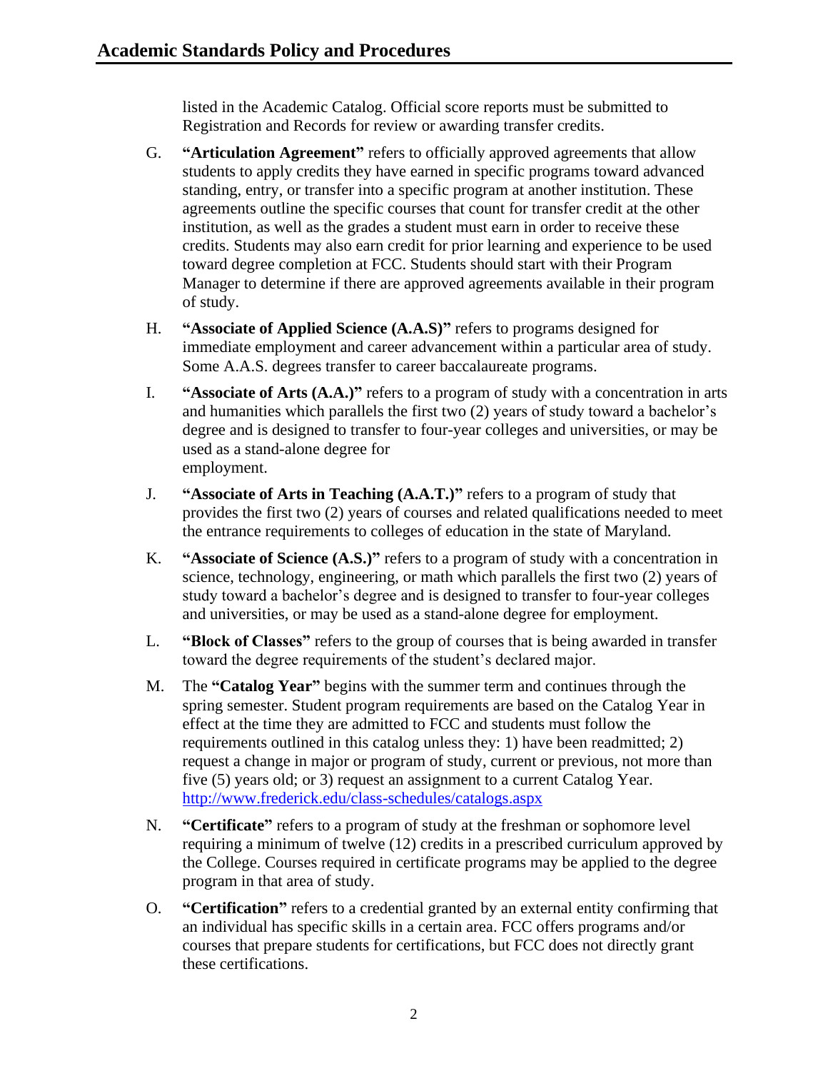listed in the Academic Catalog. Official score reports must be submitted to Registration and Records for review or awarding transfer credits.

- G. **"Articulation Agreement"** refers to officially approved agreements that allow students to apply credits they have earned in specific programs toward advanced standing, entry, or transfer into a specific program at another institution. These agreements outline the specific courses that count for transfer credit at the other institution, as well as the grades a student must earn in order to receive these credits. Students may also earn credit for prior learning and experience to be used toward degree completion at FCC. Students should start with their Program Manager to determine if there are approved agreements available in their program of study.
- H. **"Associate of Applied Science (A.A.S)"** refers to programs designed for immediate employment and career advancement within a particular area of study. Some A.A.S. degrees transfer to career baccalaureate programs.
- I. **"Associate of Arts (A.A.)"** refers to a program of study with a concentration in arts and humanities which parallels the first two (2) years of study toward a bachelor's degree and is designed to transfer to four-year colleges and universities, or may be used as a stand-alone degree for employment.
- J. **"Associate of Arts in Teaching (A.A.T.)"** refers to a program of study that provides the first two (2) years of courses and related qualifications needed to meet the entrance requirements to colleges of education in the state of Maryland.
- K. **"Associate of Science (A.S.)"** refers to a program of study with a concentration in science, technology, engineering, or math which parallels the first two (2) years of study toward a bachelor's degree and is designed to transfer to four-year colleges and universities, or may be used as a stand-alone degree for employment.
- L. **"Block of Classes"** refers to the group of courses that is being awarded in transfer toward the degree requirements of the student's declared major.
- M. The **"Catalog Year"** begins with the summer term and continues through the spring semester. Student program requirements are based on the Catalog Year in effect at the time they are admitted to FCC and students must follow the requirements outlined in this catalog unless they: 1) have been readmitted; 2) request a change in major or program of study, current or previous, not more than five (5) years old; or 3) request an assignment to a current Catalog Year. <http://www.frederick.edu/class-schedules/catalogs.aspx>
- N. **"Certificate"** refers to a program of study at the freshman or sophomore level requiring a minimum of twelve (12) credits in a prescribed curriculum approved by the College. Courses required in certificate programs may be applied to the degree program in that area of study.
- O. **"Certification"** refers to a credential granted by an external entity confirming that an individual has specific skills in a certain area. FCC offers programs and/or courses that prepare students for certifications, but FCC does not directly grant these certifications.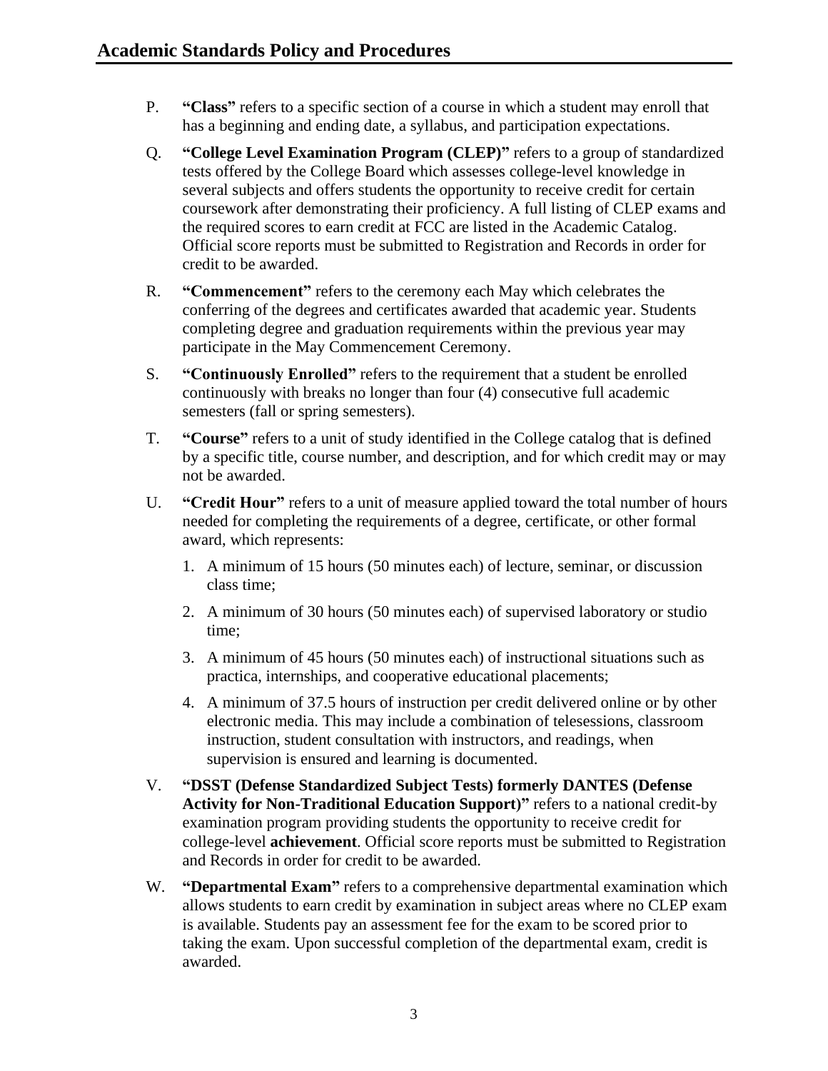- P. **"Class"** refers to a specific section of a course in which a student may enroll that has a beginning and ending date, a syllabus, and participation expectations.
- Q. **"College Level Examination Program (CLEP)"** refers to a group of standardized tests offered by the College Board which assesses college-level knowledge in several subjects and offers students the opportunity to receive credit for certain coursework after demonstrating their proficiency. A full listing of CLEP exams and the required scores to earn credit at FCC are listed in the Academic Catalog. Official score reports must be submitted to Registration and Records in order for credit to be awarded.
- R. **"Commencement"** refers to the ceremony each May which celebrates the conferring of the degrees and certificates awarded that academic year. Students completing degree and graduation requirements within the previous year may participate in the May Commencement Ceremony.
- S. **"Continuously Enrolled"** refers to the requirement that a student be enrolled continuously with breaks no longer than four (4) consecutive full academic semesters (fall or spring semesters).
- T. **"Course"** refers to a unit of study identified in the College catalog that is defined by a specific title, course number, and description, and for which credit may or may not be awarded.
- U. **"Credit Hour"** refers to a unit of measure applied toward the total number of hours needed for completing the requirements of a degree, certificate, or other formal award, which represents:
	- 1. A minimum of 15 hours (50 minutes each) of lecture, seminar, or discussion class time;
	- 2. A minimum of 30 hours (50 minutes each) of supervised laboratory or studio time;
	- 3. A minimum of 45 hours (50 minutes each) of instructional situations such as practica, internships, and cooperative educational placements;
	- 4. A minimum of 37.5 hours of instruction per credit delivered online or by other electronic media. This may include a combination of telesessions, classroom instruction, student consultation with instructors, and readings, when supervision is ensured and learning is documented.
- V. **"DSST (Defense Standardized Subject Tests) formerly DANTES (Defense Activity for Non-Traditional Education Support)"** refers to a national credit-by examination program providing students the opportunity to receive credit for college-level **achievement**. Official score reports must be submitted to Registration and Records in order for credit to be awarded.
- W. **"Departmental Exam"** refers to a comprehensive departmental examination which allows students to earn credit by examination in subject areas where no CLEP exam is available. Students pay an assessment fee for the exam to be scored prior to taking the exam. Upon successful completion of the departmental exam, credit is awarded.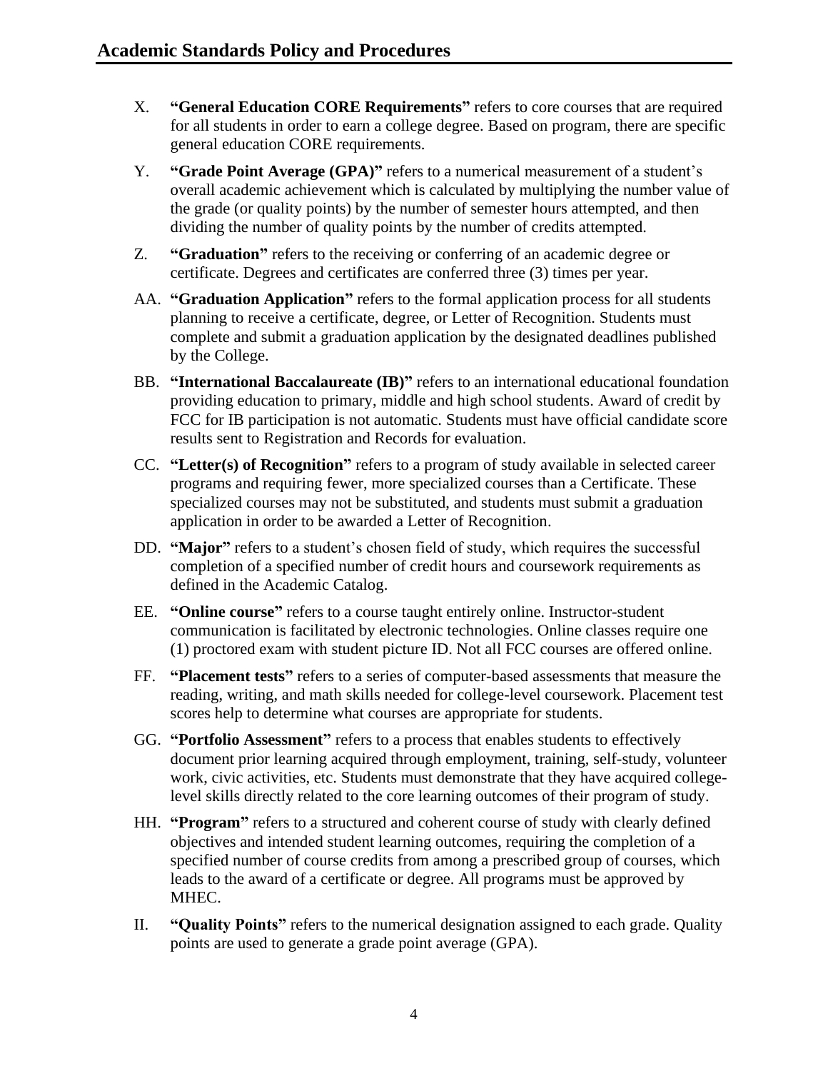- X. **"General Education CORE Requirements"** refers to core courses that are required for all students in order to earn a college degree. Based on program, there are specific general education CORE requirements.
- Y. **"Grade Point Average (GPA)"** refers to a numerical measurement of a student's overall academic achievement which is calculated by multiplying the number value of the grade (or quality points) by the number of semester hours attempted, and then dividing the number of quality points by the number of credits attempted.
- Z. **"Graduation"** refers to the receiving or conferring of an academic degree or certificate. Degrees and certificates are conferred three (3) times per year.
- AA. **"Graduation Application"** refers to the formal application process for all students planning to receive a certificate, degree, or Letter of Recognition. Students must complete and submit a graduation application by the designated deadlines published by the College.
- BB. **"International Baccalaureate (IB)"** refers to an international educational foundation providing education to primary, middle and high school students. Award of credit by FCC for IB participation is not automatic. Students must have official candidate score results sent to Registration and Records for evaluation.
- CC. **"Letter(s) of Recognition"** refers to a program of study available in selected career programs and requiring fewer, more specialized courses than a Certificate. These specialized courses may not be substituted, and students must submit a graduation application in order to be awarded a Letter of Recognition.
- DD. **"Major"** refers to a student's chosen field of study, which requires the successful completion of a specified number of credit hours and coursework requirements as defined in the Academic Catalog.
- EE. **"Online course"** refers to a course taught entirely online. Instructor-student communication is facilitated by electronic technologies. Online classes require one (1) proctored exam with student picture ID. Not all FCC courses are offered online.
- FF. **"Placement tests"** refers to a series of computer-based assessments that measure the reading, writing, and math skills needed for college-level coursework. Placement test scores help to determine what courses are appropriate for students.
- GG. **"Portfolio Assessment"** refers to a process that enables students to effectively document prior learning acquired through employment, training, self-study, volunteer work, civic activities, etc. Students must demonstrate that they have acquired collegelevel skills directly related to the core learning outcomes of their program of study.
- HH. **"Program"** refers to a structured and coherent course of study with clearly defined objectives and intended student learning outcomes, requiring the completion of a specified number of course credits from among a prescribed group of courses, which leads to the award of a certificate or degree. All programs must be approved by MHEC.
- II. **"Quality Points"** refers to the numerical designation assigned to each grade. Quality points are used to generate a grade point average (GPA).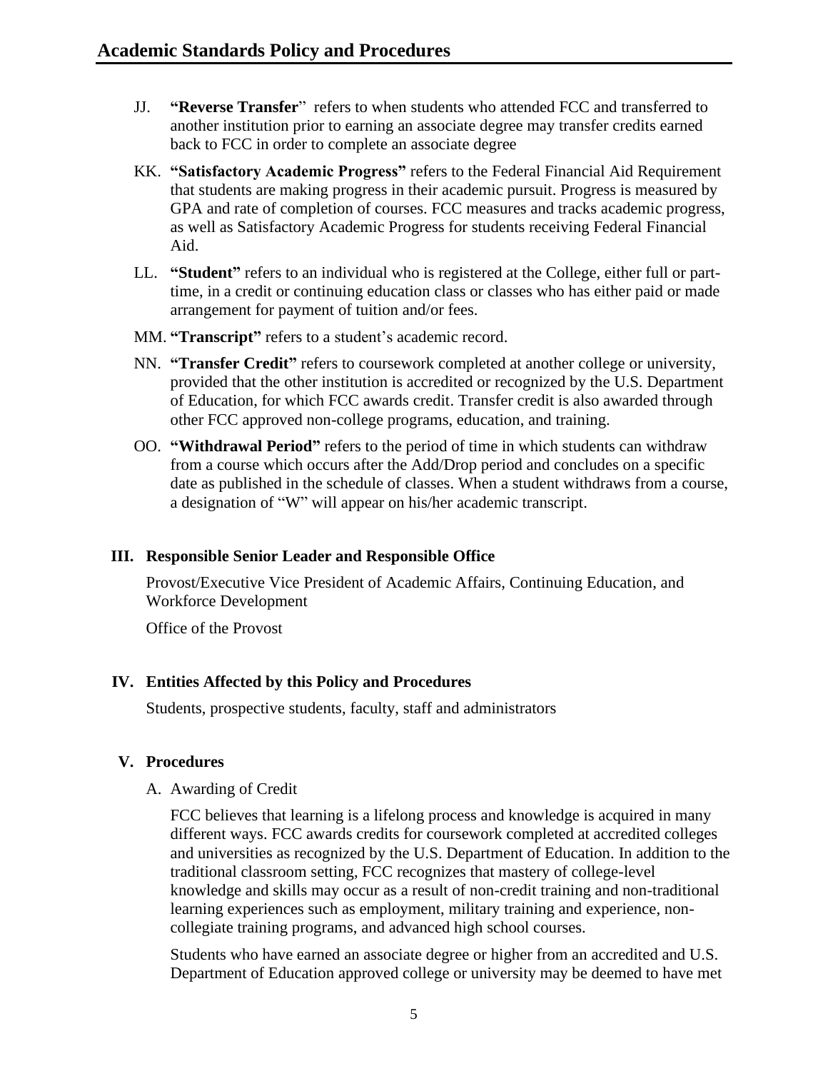- JJ. **"Reverse Transfer**" refers to when students who attended FCC and transferred to another institution prior to earning an associate degree may transfer credits earned back to FCC in order to complete an associate degree
- KK. **"Satisfactory Academic Progress"** refers to the Federal Financial Aid Requirement that students are making progress in their academic pursuit. Progress is measured by GPA and rate of completion of courses. FCC measures and tracks academic progress, as well as Satisfactory Academic Progress for students receiving Federal Financial Aid.
- LL. **"Student"** refers to an individual who is registered at the College, either full or parttime, in a credit or continuing education class or classes who has either paid or made arrangement for payment of tuition and/or fees.
- MM. **"Transcript"** refers to a student's academic record.
- NN. **"Transfer Credit"** refers to coursework completed at another college or university, provided that the other institution is accredited or recognized by the U.S. Department of Education, for which FCC awards credit. Transfer credit is also awarded through other FCC approved non-college programs, education, and training.
- OO. **"Withdrawal Period"** refers to the period of time in which students can withdraw from a course which occurs after the Add/Drop period and concludes on a specific date as published in the schedule of classes. When a student withdraws from a course, a designation of "W" will appear on his/her academic transcript.

#### <span id="page-5-0"></span>**III. Responsible Senior Leader and Responsible Office**

Provost/Executive Vice President of Academic Affairs, Continuing Education, and Workforce Development

Office of the Provost

## <span id="page-5-1"></span>**IV. Entities Affected by this Policy and Procedures**

Students, prospective students, faculty, staff and administrators

## <span id="page-5-3"></span><span id="page-5-2"></span>**V. Procedures**

#### A. Awarding of Credit

FCC believes that learning is a lifelong process and knowledge is acquired in many different ways. FCC awards credits for coursework completed at accredited colleges and universities as recognized by the U.S. Department of Education. In addition to the traditional classroom setting, FCC recognizes that mastery of college-level knowledge and skills may occur as a result of non-credit training and non-traditional learning experiences such as employment, military training and experience, noncollegiate training programs, and advanced high school courses.

Students who have earned an associate degree or higher from an accredited and U.S. Department of Education approved college or university may be deemed to have met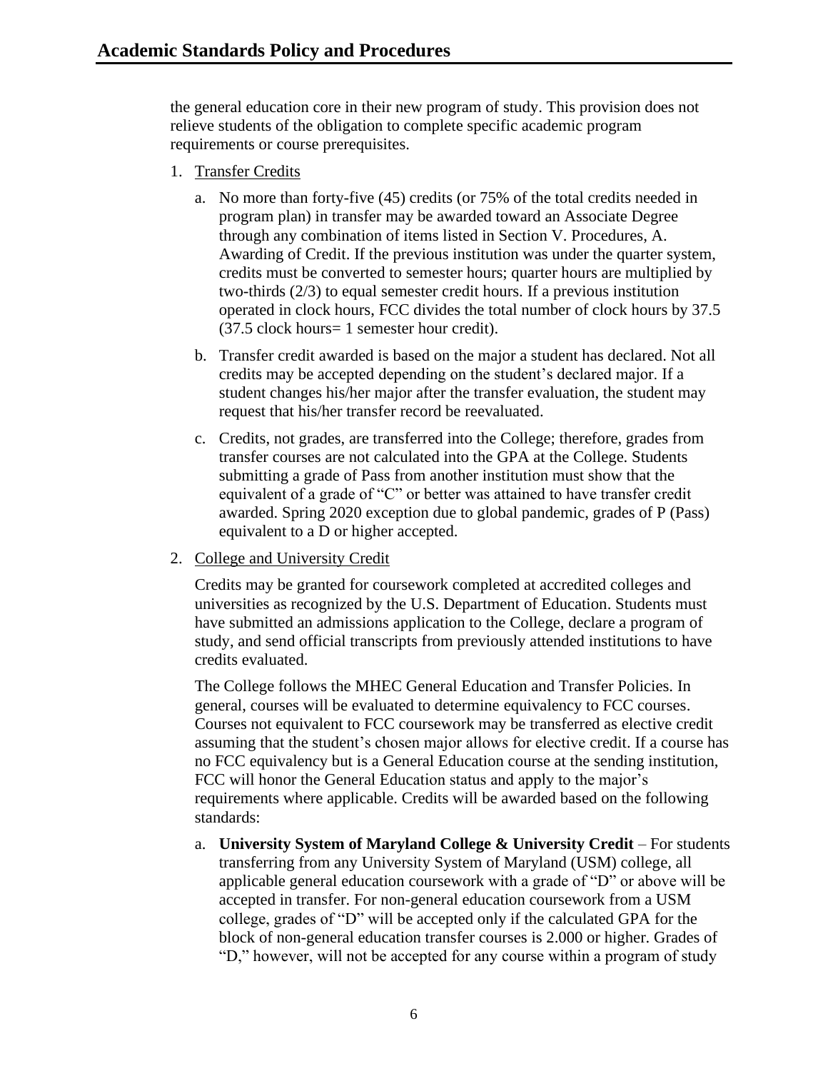the general education core in their new program of study. This provision does not relieve students of the obligation to complete specific academic program requirements or course prerequisites.

- 1. Transfer Credits
	- a. No more than forty-five (45) credits (or 75% of the total credits needed in program plan) in transfer may be awarded toward an Associate Degree through any combination of items listed in Section V. Procedures, A. Awarding of Credit. If the previous institution was under the quarter system, credits must be converted to semester hours; quarter hours are multiplied by two-thirds (2/3) to equal semester credit hours. If a previous institution operated in clock hours, FCC divides the total number of clock hours by 37.5 (37.5 clock hours= 1 semester hour credit).
	- b. Transfer credit awarded is based on the major a student has declared. Not all credits may be accepted depending on the student's declared major. If a student changes his/her major after the transfer evaluation, the student may request that his/her transfer record be reevaluated.
	- c. Credits, not grades, are transferred into the College; therefore, grades from transfer courses are not calculated into the GPA at the College. Students submitting a grade of Pass from another institution must show that the equivalent of a grade of "C" or better was attained to have transfer credit awarded. Spring 2020 exception due to global pandemic, grades of P (Pass) equivalent to a D or higher accepted.
- 2. College and University Credit

Credits may be granted for coursework completed at accredited colleges and universities as recognized by the U.S. Department of Education. Students must have submitted an admissions application to the College, declare a program of study, and send official transcripts from previously attended institutions to have credits evaluated.

The College follows the MHEC General Education and Transfer Policies. In general, courses will be evaluated to determine equivalency to FCC courses. Courses not equivalent to FCC coursework may be transferred as elective credit assuming that the student's chosen major allows for elective credit. If a course has no FCC equivalency but is a General Education course at the sending institution, FCC will honor the General Education status and apply to the major's requirements where applicable. Credits will be awarded based on the following standards:

a. **University System of Maryland College & University Credit** – For students transferring from any University System of Maryland (USM) college, all applicable general education coursework with a grade of "D" or above will be accepted in transfer. For non-general education coursework from a USM college, grades of "D" will be accepted only if the calculated GPA for the block of non-general education transfer courses is 2.000 or higher. Grades of "D," however, will not be accepted for any course within a program of study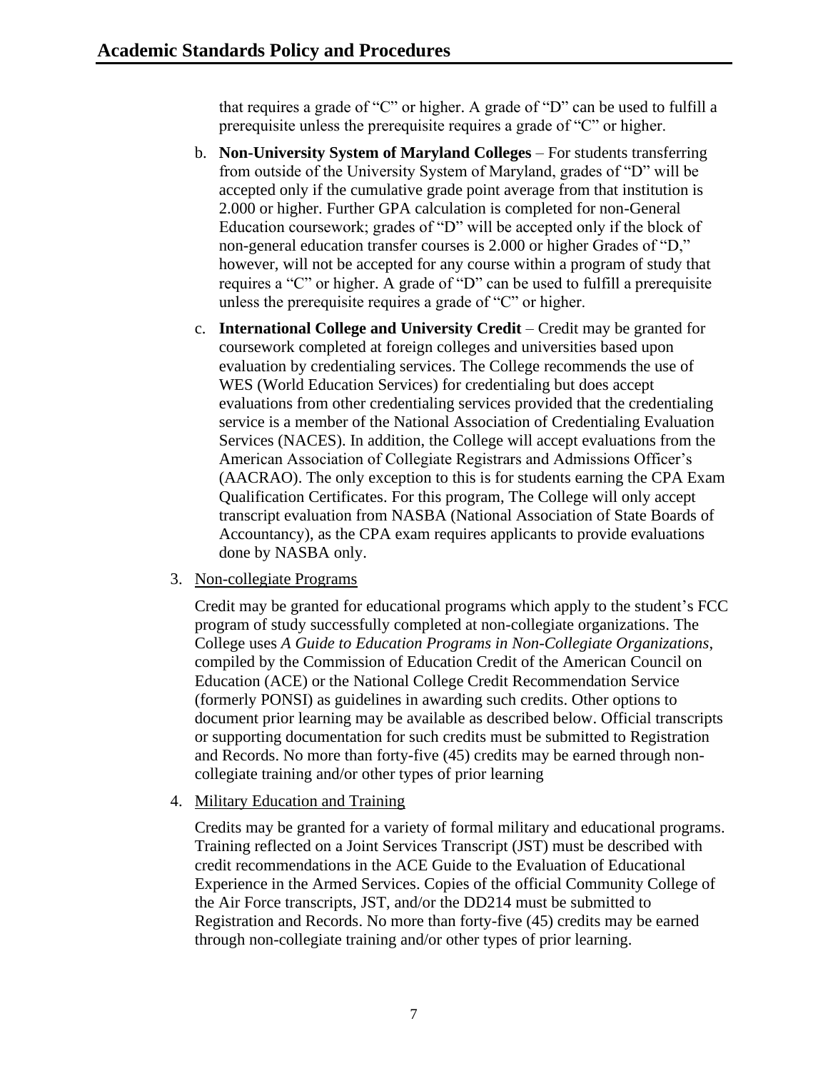that requires a grade of "C" or higher. A grade of "D" can be used to fulfill a prerequisite unless the prerequisite requires a grade of "C" or higher.

- b. **Non-University System of Maryland Colleges** For students transferring from outside of the University System of Maryland, grades of "D" will be accepted only if the cumulative grade point average from that institution is 2.000 or higher. Further GPA calculation is completed for non-General Education coursework; grades of "D" will be accepted only if the block of non-general education transfer courses is 2.000 or higher Grades of "D," however, will not be accepted for any course within a program of study that requires a "C" or higher. A grade of "D" can be used to fulfill a prerequisite unless the prerequisite requires a grade of "C" or higher.
- c. **International College and University Credit** Credit may be granted for coursework completed at foreign colleges and universities based upon evaluation by credentialing services. The College recommends the use of WES (World Education Services) for credentialing but does accept evaluations from other credentialing services provided that the credentialing service is a member of the National Association of Credentialing Evaluation Services (NACES). In addition, the College will accept evaluations from the American Association of Collegiate Registrars and Admissions Officer's (AACRAO). The only exception to this is for students earning the CPA Exam Qualification Certificates. For this program, The College will only accept transcript evaluation from NASBA (National Association of State Boards of Accountancy), as the CPA exam requires applicants to provide evaluations done by NASBA only.
- 3. Non-collegiate Programs

Credit may be granted for educational programs which apply to the student's FCC program of study successfully completed at non-collegiate organizations. The College uses *A Guide to Education Programs in Non-Collegiate Organizations*, compiled by the Commission of Education Credit of the American Council on Education (ACE) or the National College Credit Recommendation Service (formerly PONSI) as guidelines in awarding such credits. Other options to document prior learning may be available as described below. Official transcripts or supporting documentation for such credits must be submitted to Registration and Records. No more than forty-five (45) credits may be earned through noncollegiate training and/or other types of prior learning

4. Military Education and Training

Credits may be granted for a variety of formal military and educational programs. Training reflected on a Joint Services Transcript (JST) must be described with credit recommendations in the ACE Guide to the Evaluation of Educational Experience in the Armed Services. Copies of the official Community College of the Air Force transcripts, JST, and/or the DD214 must be submitted to Registration and Records. No more than forty-five (45) credits may be earned through non-collegiate training and/or other types of prior learning.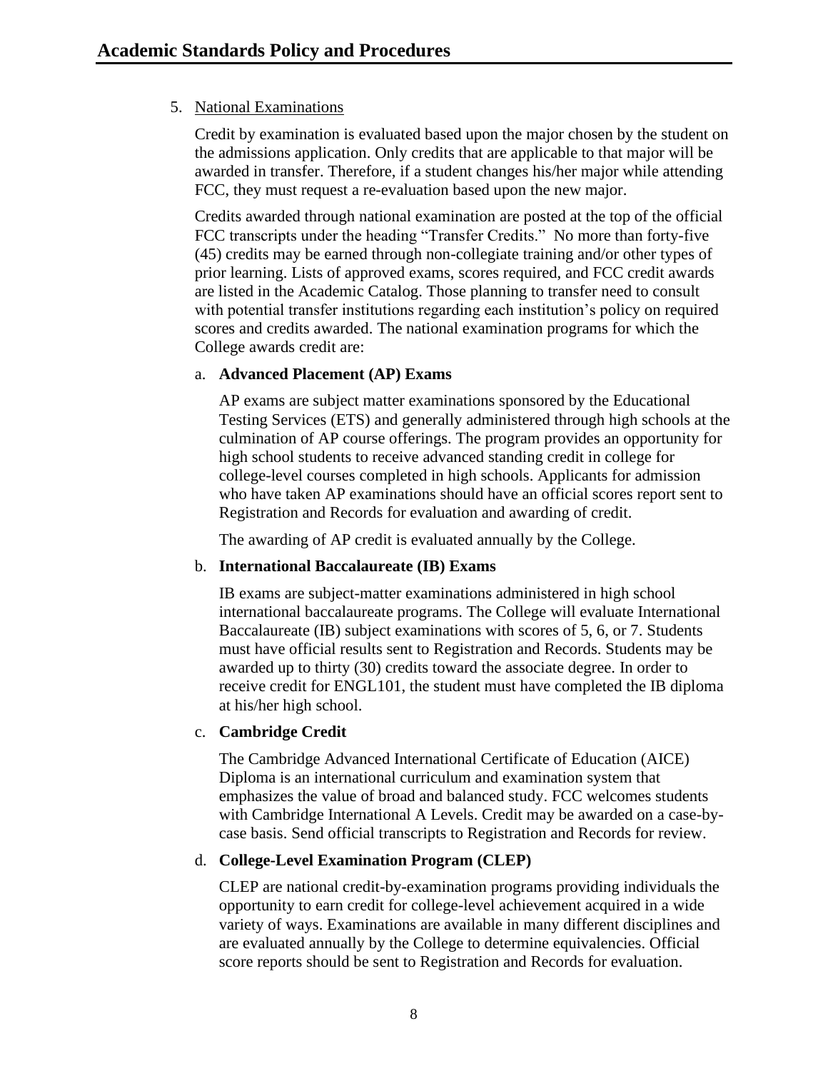## 5. National Examinations

Credit by examination is evaluated based upon the major chosen by the student on the admissions application. Only credits that are applicable to that major will be awarded in transfer. Therefore, if a student changes his/her major while attending FCC, they must request a re-evaluation based upon the new major.

Credits awarded through national examination are posted at the top of the official FCC transcripts under the heading "Transfer Credits." No more than forty-five (45) credits may be earned through non-collegiate training and/or other types of prior learning. Lists of approved exams, scores required, and FCC credit awards are listed in the Academic Catalog. Those planning to transfer need to consult with potential transfer institutions regarding each institution's policy on required scores and credits awarded. The national examination programs for which the College awards credit are:

#### a. **Advanced Placement (AP) Exams**

AP exams are subject matter examinations sponsored by the Educational Testing Services (ETS) and generally administered through high schools at the culmination of AP course offerings. The program provides an opportunity for high school students to receive advanced standing credit in college for college-level courses completed in high schools. Applicants for admission who have taken AP examinations should have an official scores report sent to Registration and Records for evaluation and awarding of credit.

The awarding of AP credit is evaluated annually by the College.

#### b. **International Baccalaureate (IB) Exams**

IB exams are subject-matter examinations administered in high school international baccalaureate programs. The College will evaluate International Baccalaureate (IB) subject examinations with scores of 5, 6, or 7. Students must have official results sent to Registration and Records. Students may be awarded up to thirty (30) credits toward the associate degree. In order to receive credit for ENGL101, the student must have completed the IB diploma at his/her high school.

#### c. **Cambridge Credit**

The Cambridge Advanced International Certificate of Education (AICE) Diploma is an international curriculum and examination system that emphasizes the value of broad and balanced study. FCC welcomes students with Cambridge International A Levels. Credit may be awarded on a case-bycase basis. Send official transcripts to Registration and Records for review.

#### d. **College-Level Examination Program (CLEP)**

CLEP are national credit-by-examination programs providing individuals the opportunity to earn credit for college-level achievement acquired in a wide variety of ways. Examinations are available in many different disciplines and are evaluated annually by the College to determine equivalencies. Official score reports should be sent to Registration and Records for evaluation.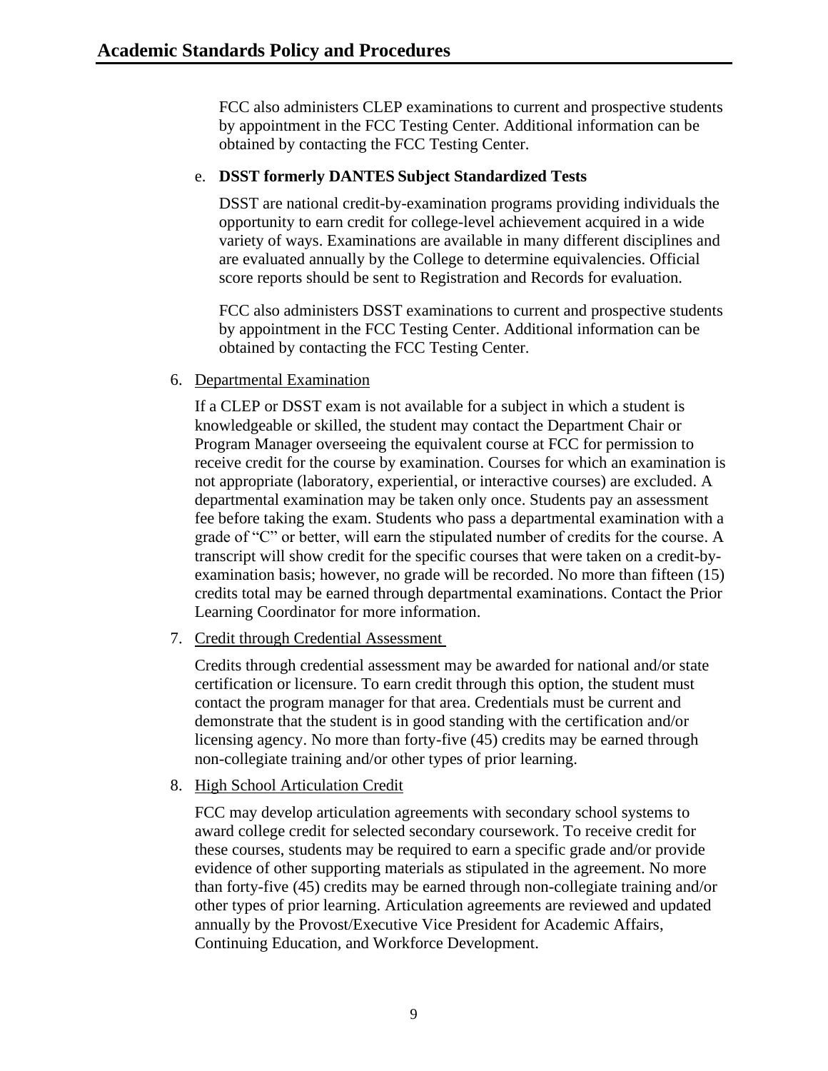FCC also administers CLEP examinations to current and prospective students by appointment in the FCC Testing Center. Additional information can be obtained by contacting the FCC Testing Center.

## e. **DSST formerly DANTES Subject Standardized Tests**

DSST are national credit-by-examination programs providing individuals the opportunity to earn credit for college-level achievement acquired in a wide variety of ways. Examinations are available in many different disciplines and are evaluated annually by the College to determine equivalencies. Official score reports should be sent to Registration and Records for evaluation.

FCC also administers DSST examinations to current and prospective students by appointment in the FCC Testing Center. Additional information can be obtained by contacting the FCC Testing Center.

6. Departmental Examination

If a CLEP or DSST exam is not available for a subject in which a student is knowledgeable or skilled, the student may contact the Department Chair or Program Manager overseeing the equivalent course at FCC for permission to receive credit for the course by examination. Courses for which an examination is not appropriate (laboratory, experiential, or interactive courses) are excluded. A departmental examination may be taken only once. Students pay an assessment fee before taking the exam. Students who pass a departmental examination with a grade of "C" or better, will earn the stipulated number of credits for the course. A transcript will show credit for the specific courses that were taken on a credit-byexamination basis; however, no grade will be recorded. No more than fifteen (15) credits total may be earned through departmental examinations. Contact the Prior Learning Coordinator for more information.

7. Credit through Credential Assessment

Credits through credential assessment may be awarded for national and/or state certification or licensure. To earn credit through this option, the student must contact the program manager for that area. Credentials must be current and demonstrate that the student is in good standing with the certification and/or licensing agency. No more than forty-five (45) credits may be earned through non-collegiate training and/or other types of prior learning.

## 8. High School Articulation Credit

FCC may develop articulation agreements with secondary school systems to award college credit for selected secondary coursework. To receive credit for these courses, students may be required to earn a specific grade and/or provide evidence of other supporting materials as stipulated in the agreement. No more than forty-five (45) credits may be earned through non-collegiate training and/or other types of prior learning. Articulation agreements are reviewed and updated annually by the Provost/Executive Vice President for Academic Affairs, Continuing Education, and Workforce Development.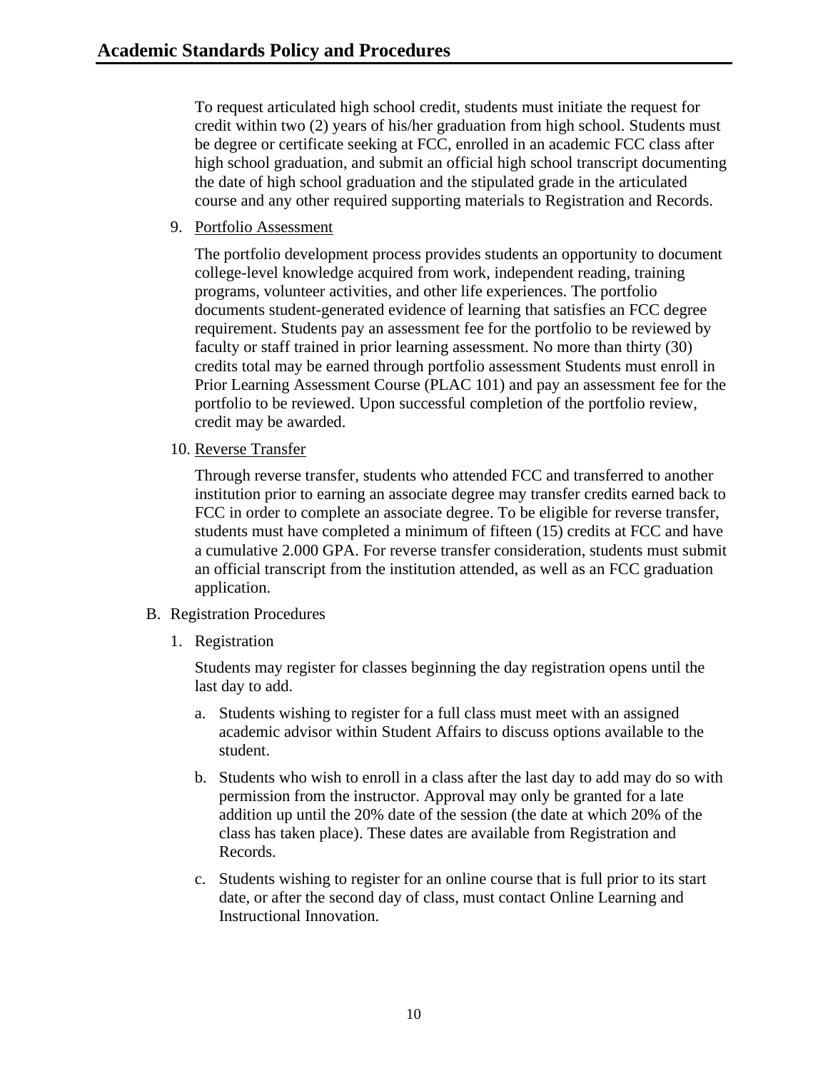To request articulated high school credit, students must initiate the request for credit within two (2) years of his/her graduation from high school. Students must be degree or certificate seeking at FCC, enrolled in an academic FCC class after high school graduation, and submit an official high school transcript documenting the date of high school graduation and the stipulated grade in the articulated course and any other required supporting materials to Registration and Records.

9. Portfolio Assessment

The portfolio development process provides students an opportunity to document college-level knowledge acquired from work, independent reading, training programs, volunteer activities, and other life experiences. The portfolio documents student-generated evidence of learning that satisfies an FCC degree requirement. Students pay an assessment fee for the portfolio to be reviewed by faculty or staff trained in prior learning assessment. No more than thirty (30) credits total may be earned through portfolio assessment Students must enroll in Prior Learning Assessment Course (PLAC 101) and pay an assessment fee for the portfolio to be reviewed. Upon successful completion of the portfolio review, credit may be awarded.

10. Reverse Transfer

Through reverse transfer, students who attended FCC and transferred to another institution prior to earning an associate degree may transfer credits earned back to FCC in order to complete an associate degree. To be eligible for reverse transfer, students must have completed a minimum of fifteen (15) credits at FCC and have a cumulative 2.000 GPA. For reverse transfer consideration, students must submit an official transcript from the institution attended, as well as an FCC graduation application.

- <span id="page-10-0"></span>B. Registration Procedures
	- 1. Registration

Students may register for classes beginning the day registration opens until the last day to add.

- a. Students wishing to register for a full class must meet with an assigned academic advisor within Student Affairs to discuss options available to the student.
- b. Students who wish to enroll in a class after the last day to add may do so with permission from the instructor. Approval may only be granted for a late addition up until the 20% date of the session (the date at which 20% of the class has taken place). These dates are available from Registration and Records.
- c. Students wishing to register for an online course that is full prior to its start date, or after the second day of class, must contact Online Learning and Instructional Innovation.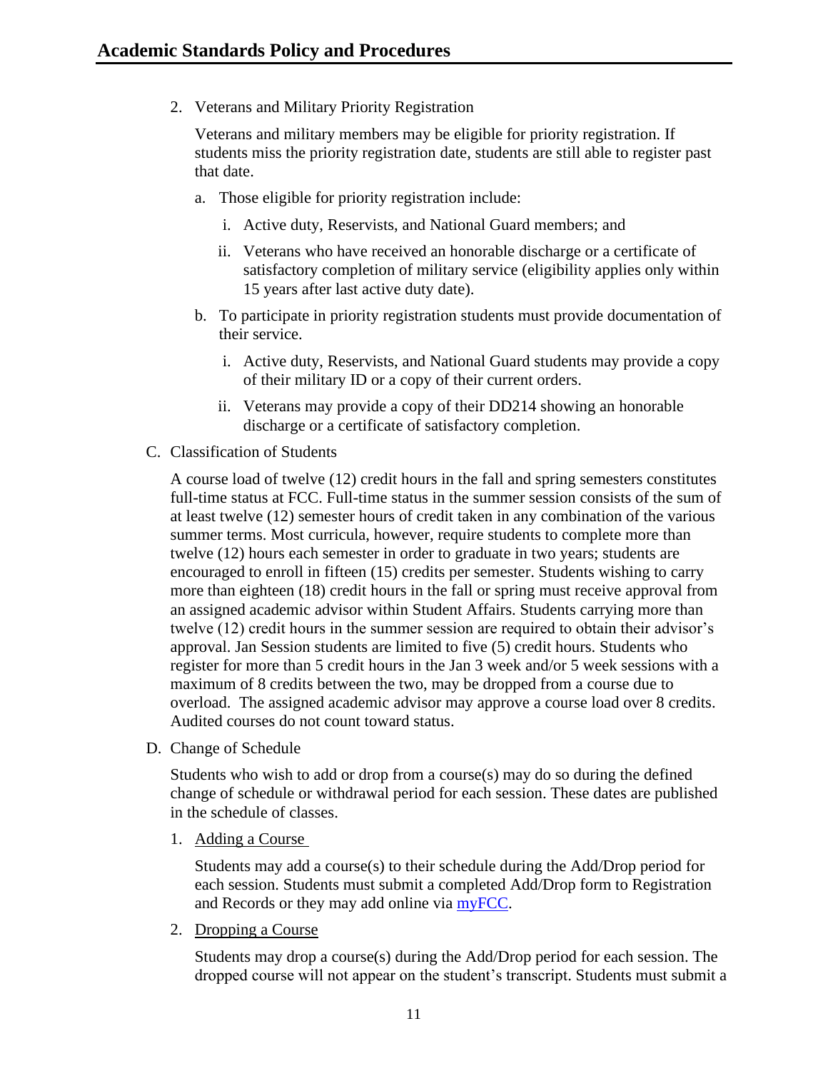2. Veterans and Military Priority Registration

Veterans and military members may be eligible for priority registration. If students miss the priority registration date, students are still able to register past that date.

- a. Those eligible for priority registration include:
	- i. Active duty, Reservists, and National Guard members; and
	- ii. Veterans who have received an honorable discharge or a certificate of satisfactory completion of military service (eligibility applies only within 15 years after last active duty date).
- b. To participate in priority registration students must provide documentation of their service.
	- i. Active duty, Reservists, and National Guard students may provide a copy of their military ID or a copy of their current orders.
	- ii. Veterans may provide a copy of their DD214 showing an honorable discharge or a certificate of satisfactory completion.
- <span id="page-11-0"></span>C. Classification of Students

A course load of twelve (12) credit hours in the fall and spring semesters constitutes full-time status at FCC. Full-time status in the summer session consists of the sum of at least twelve (12) semester hours of credit taken in any combination of the various summer terms. Most curricula, however, require students to complete more than twelve (12) hours each semester in order to graduate in two years; students are encouraged to enroll in fifteen (15) credits per semester. Students wishing to carry more than eighteen (18) credit hours in the fall or spring must receive approval from an assigned academic advisor within Student Affairs. Students carrying more than twelve (12) credit hours in the summer session are required to obtain their advisor's approval. Jan Session students are limited to five (5) credit hours. Students who register for more than 5 credit hours in the Jan 3 week and/or 5 week sessions with a maximum of 8 credits between the two, may be dropped from a course due to overload. The assigned academic advisor may approve a course load over 8 credits. Audited courses do not count toward status.

<span id="page-11-1"></span>D. Change of Schedule

Students who wish to add or drop from a course(s) may do so during the defined change of schedule or withdrawal period for each session. These dates are published in the schedule of classes.

1. Adding a Course

Students may add a course(s) to their schedule during the Add/Drop period for each session. Students must submit a completed Add/Drop form to Registration and Records or they may add online via [myFCC.](http://myfcc.frederick.edu/)

2. Dropping a Course

Students may drop a course(s) during the Add/Drop period for each session. The dropped course will not appear on the student's transcript. Students must submit a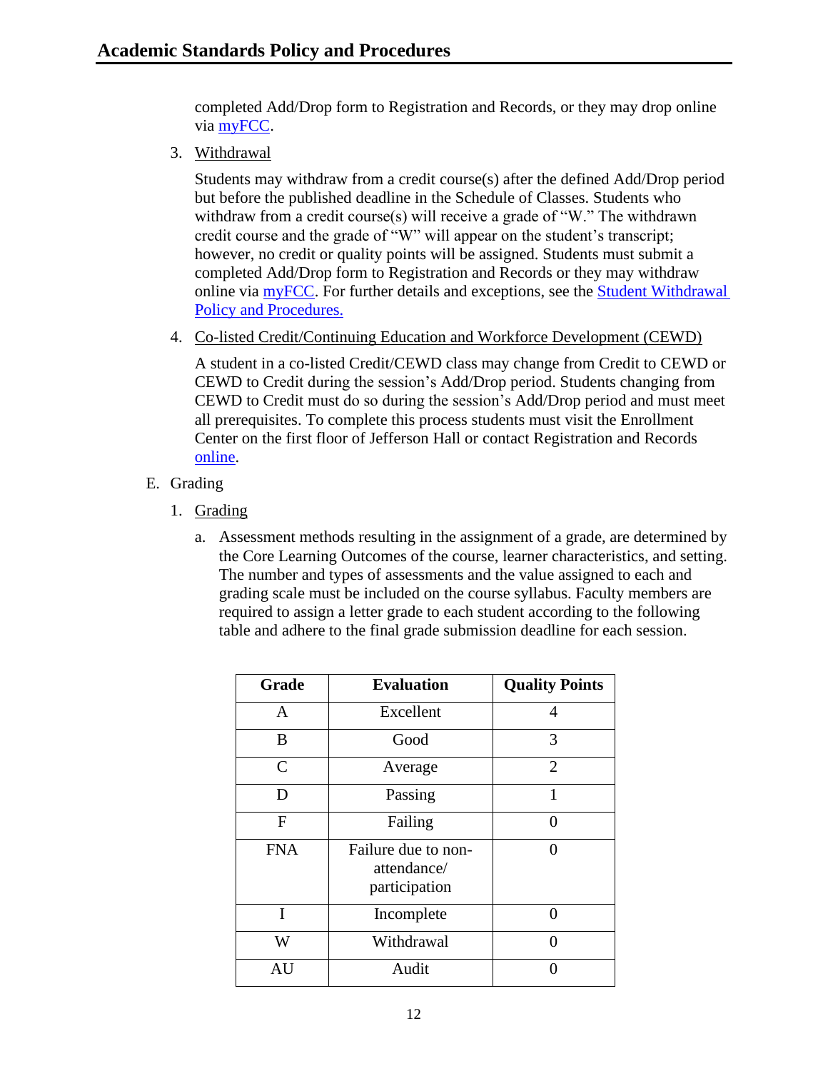completed Add/Drop form to Registration and Records, or they may drop online via [myFCC.](http://myfcc.frederick.edu/)

3. Withdrawal

Students may withdraw from a credit course(s) after the defined Add/Drop period but before the published deadline in the Schedule of Classes. Students who withdraw from a credit course(s) will receive a grade of "W." The withdrawn credit course and the grade of "W" will appear on the student's transcript; however, no credit or quality points will be assigned. Students must submit a completed Add/Drop form to Registration and Records or they may withdraw online via [myFCC.](http://myfcc.frederick.edu/) For further details and exceptions, see the [Student Withdrawal](https://www.frederick.edu/jobs-hr/policies-and-procedures/policyproceduredocuments/student-withdrawal.aspx)  [Policy and Procedures.](https://www.frederick.edu/jobs-hr/policies-and-procedures/policyproceduredocuments/student-withdrawal.aspx)

4. Co-listed Credit/Continuing Education and Workforce Development (CEWD)

A student in a co-listed Credit/CEWD class may change from Credit to CEWD or CEWD to Credit during the session's Add/Drop period. Students changing from CEWD to Credit must do so during the session's Add/Drop period and must meet all prerequisites. To complete this process students must visit the Enrollment Center on the first floor of Jefferson Hall or contact Registration and Records [online.](https://www.frederick.edu/admissions/registration-records.aspx)

- <span id="page-12-0"></span>E. Grading
	- 1. Grading
		- a. Assessment methods resulting in the assignment of a grade, are determined by the Core Learning Outcomes of the course, learner characteristics, and setting. The number and types of assessments and the value assigned to each and grading scale must be included on the course syllabus. Faculty members are required to assign a letter grade to each student according to the following table and adhere to the final grade submission deadline for each session.

| Grade         | <b>Evaluation</b>                                   | <b>Quality Points</b> |
|---------------|-----------------------------------------------------|-----------------------|
| A             | Excellent                                           | 4                     |
| B             | Good                                                | 3                     |
| $\mathcal{C}$ | Average                                             | $\overline{2}$        |
| D             | Passing                                             | 1                     |
| F             | Failing                                             | ∩                     |
| <b>FNA</b>    | Failure due to non-<br>attendance/<br>participation | 0                     |
| I             | Incomplete                                          | 0                     |
| W             | Withdrawal                                          | 0                     |
| AU            | Audit                                               |                       |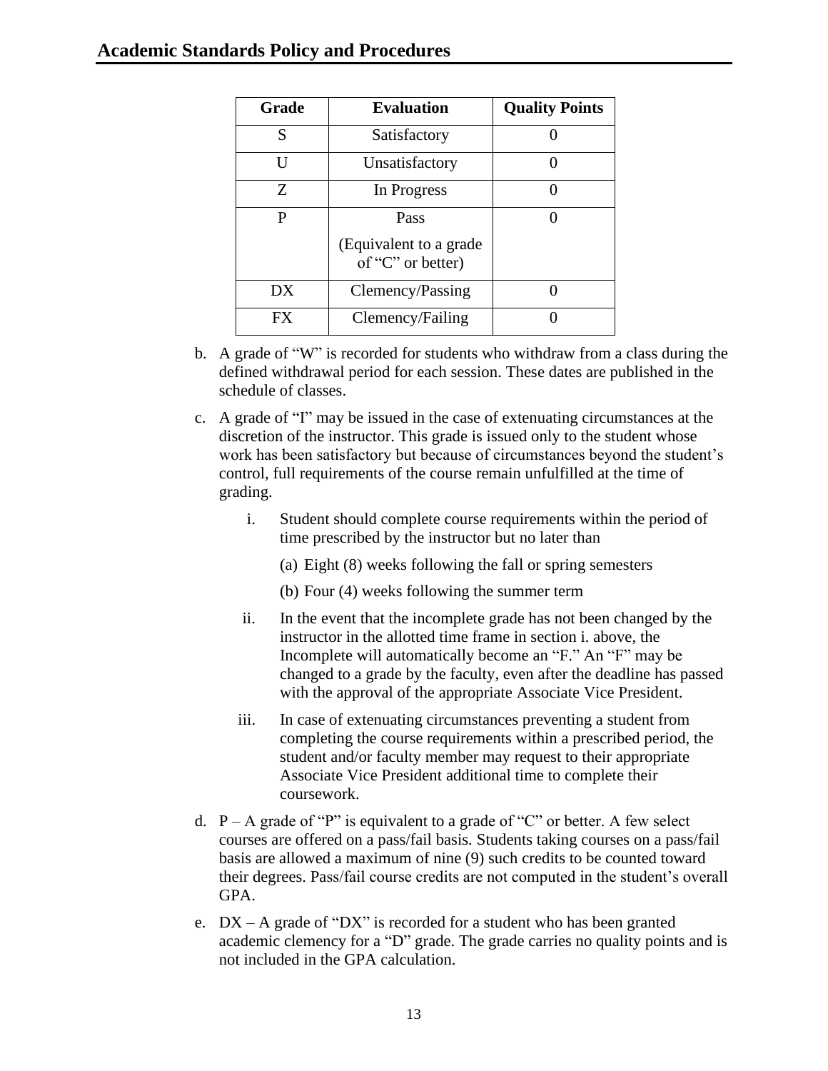| Grade | <b>Evaluation</b>                           | <b>Quality Points</b> |
|-------|---------------------------------------------|-----------------------|
| S     | Satisfactory                                |                       |
| ĪΙ    | Unsatisfactory                              |                       |
| Z     | In Progress                                 |                       |
| P     | Pass                                        |                       |
|       | (Equivalent to a grade<br>of "C" or better) |                       |
| DX    | Clemency/Passing                            |                       |
| FX    | Clemency/Failing                            |                       |

- b. A grade of "W" is recorded for students who withdraw from a class during the defined withdrawal period for each session. These dates are published in the schedule of classes.
- c. A grade of "I" may be issued in the case of extenuating circumstances at the discretion of the instructor. This grade is issued only to the student whose work has been satisfactory but because of circumstances beyond the student's control, full requirements of the course remain unfulfilled at the time of grading.
	- i. Student should complete course requirements within the period of time prescribed by the instructor but no later than
		- (a) Eight (8) weeks following the fall or spring semesters
		- (b) Four (4) weeks following the summer term
	- ii. In the event that the incomplete grade has not been changed by the instructor in the allotted time frame in section i. above, the Incomplete will automatically become an "F." An "F" may be changed to a grade by the faculty, even after the deadline has passed with the approval of the appropriate Associate Vice President.
	- iii. In case of extenuating circumstances preventing a student from completing the course requirements within a prescribed period, the student and/or faculty member may request to their appropriate Associate Vice President additional time to complete their coursework.
- d.  $P A$  grade of "P" is equivalent to a grade of "C" or better. A few select courses are offered on a pass/fail basis. Students taking courses on a pass/fail basis are allowed a maximum of nine (9) such credits to be counted toward their degrees. Pass/fail course credits are not computed in the student's overall GPA.
- e.  $DX A$  grade of "DX" is recorded for a student who has been granted academic clemency for a "D" grade. The grade carries no quality points and is not included in the GPA calculation.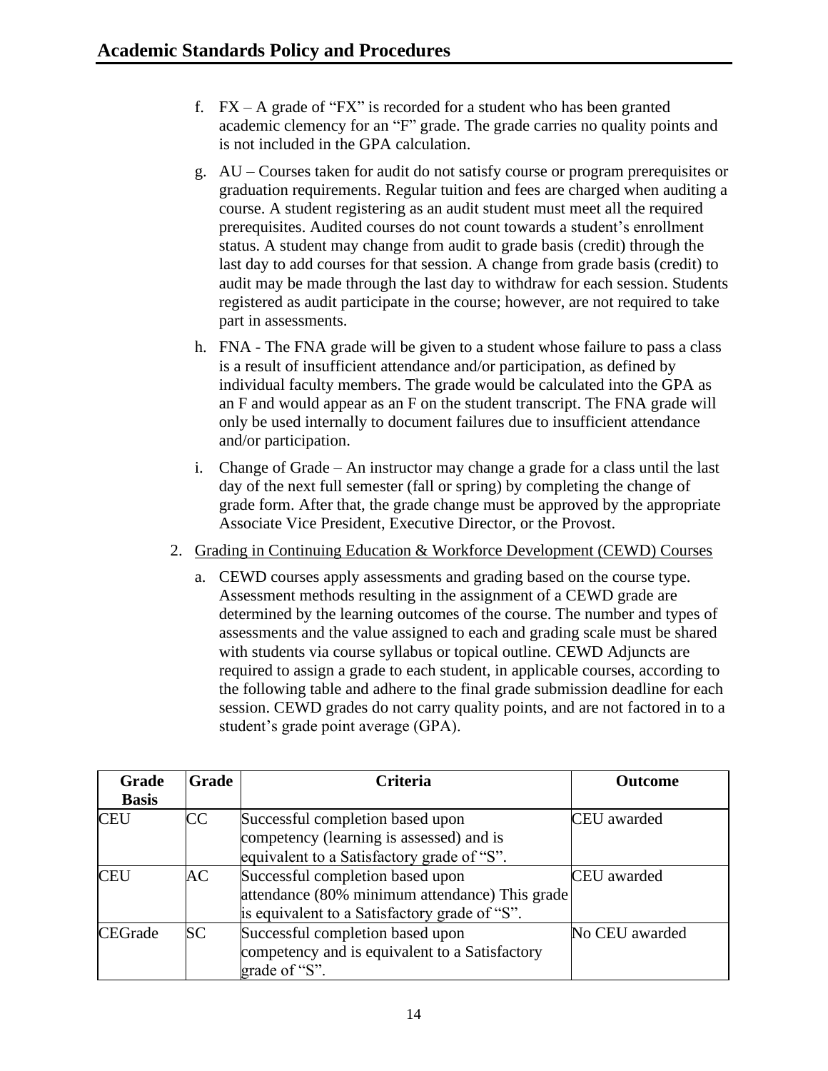- f.  $FX A$  grade of " $FX$ " is recorded for a student who has been granted academic clemency for an "F" grade. The grade carries no quality points and is not included in the GPA calculation.
- g. AU Courses taken for audit do not satisfy course or program prerequisites or graduation requirements. Regular tuition and fees are charged when auditing a course. A student registering as an audit student must meet all the required prerequisites. Audited courses do not count towards a student's enrollment status. A student may change from audit to grade basis (credit) through the last day to add courses for that session. A change from grade basis (credit) to audit may be made through the last day to withdraw for each session. Students registered as audit participate in the course; however, are not required to take part in assessments.
- h. FNA The FNA grade will be given to a student whose failure to pass a class is a result of insufficient attendance and/or participation, as defined by individual faculty members. The grade would be calculated into the GPA as an F and would appear as an F on the student transcript. The FNA grade will only be used internally to document failures due to insufficient attendance and/or participation.
- i. Change of Grade An instructor may change a grade for a class until the last day of the next full semester (fall or spring) by completing the change of grade form. After that, the grade change must be approved by the appropriate Associate Vice President, Executive Director, or the Provost.
- 2. Grading in Continuing Education & Workforce Development (CEWD) Courses
	- a. CEWD courses apply assessments and grading based on the course type. Assessment methods resulting in the assignment of a CEWD grade are determined by the learning outcomes of the course. The number and types of assessments and the value assigned to each and grading scale must be shared with students via course syllabus or topical outline. CEWD Adjuncts are required to assign a grade to each student, in applicable courses, according to the following table and adhere to the final grade submission deadline for each session. CEWD grades do not carry quality points, and are not factored in to a student's grade point average (GPA).

| Grade          | Grade     | <b>Criteria</b>                                                                                                                     | <b>Outcome</b>     |
|----------------|-----------|-------------------------------------------------------------------------------------------------------------------------------------|--------------------|
| <b>Basis</b>   |           |                                                                                                                                     |                    |
| <b>CEU</b>     | CC        | Successful completion based upon<br>competency (learning is assessed) and is<br>equivalent to a Satisfactory grade of "S".          | CEU awarded        |
| <b>CEU</b>     | AC        | Successful completion based upon<br>attendance (80% minimum attendance) This grade<br>is equivalent to a Satisfactory grade of "S". | <b>CEU</b> awarded |
| <b>CEGrade</b> | <b>SC</b> | Successful completion based upon<br>competency and is equivalent to a Satisfactory<br>grade of "S".                                 | No CEU awarded     |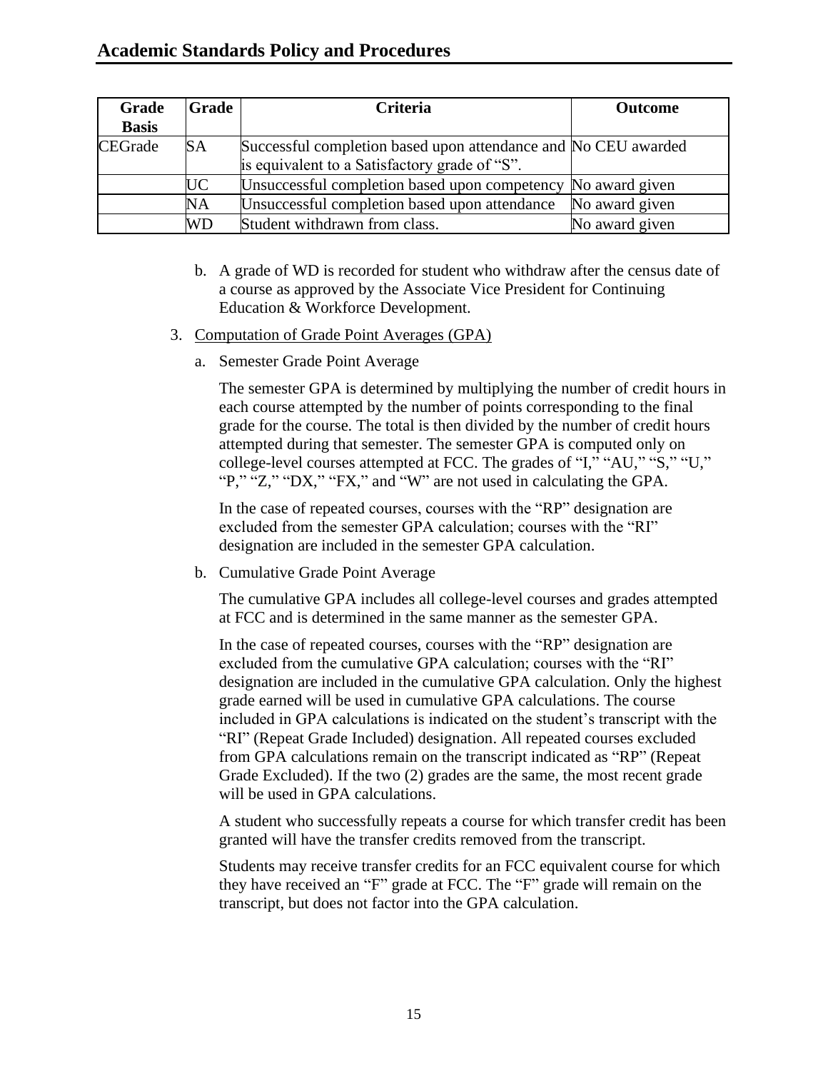## **Academic Standards Policy and Procedures**

| Grade        | <b>Grade</b> | <b>Criteria</b>                                                | <b>Outcome</b> |
|--------------|--------------|----------------------------------------------------------------|----------------|
| <b>Basis</b> |              |                                                                |                |
| CEGrade      | <b>SA</b>    | Successful completion based upon attendance and No CEU awarded |                |
|              |              | is equivalent to a Satisfactory grade of "S".                  |                |
|              | UC           | Unsuccessful completion based upon competency No award given   |                |
|              | NA           | Unsuccessful completion based upon attendance                  | No award given |
|              | <b>WD</b>    | Student withdrawn from class.                                  | No award given |

- b. A grade of WD is recorded for student who withdraw after the census date of a course as approved by the Associate Vice President for Continuing Education & Workforce Development.
- 3. Computation of Grade Point Averages (GPA)
	- a. Semester Grade Point Average

The semester GPA is determined by multiplying the number of credit hours in each course attempted by the number of points corresponding to the final grade for the course. The total is then divided by the number of credit hours attempted during that semester. The semester GPA is computed only on college-level courses attempted at FCC. The grades of "I," "AU," "S," "U," "P," "Z," "DX," "FX," and "W" are not used in calculating the GPA.

In the case of repeated courses, courses with the "RP" designation are excluded from the semester GPA calculation; courses with the "RI" designation are included in the semester GPA calculation.

b. Cumulative Grade Point Average

The cumulative GPA includes all college-level courses and grades attempted at FCC and is determined in the same manner as the semester GPA.

In the case of repeated courses, courses with the "RP" designation are excluded from the cumulative GPA calculation; courses with the "RI" designation are included in the cumulative GPA calculation. Only the highest grade earned will be used in cumulative GPA calculations. The course included in GPA calculations is indicated on the student's transcript with the "RI" (Repeat Grade Included) designation. All repeated courses excluded from GPA calculations remain on the transcript indicated as "RP" (Repeat Grade Excluded). If the two (2) grades are the same, the most recent grade will be used in GPA calculations.

A student who successfully repeats a course for which transfer credit has been granted will have the transfer credits removed from the transcript.

Students may receive transfer credits for an FCC equivalent course for which they have received an "F" grade at FCC. The "F" grade will remain on the transcript, but does not factor into the GPA calculation.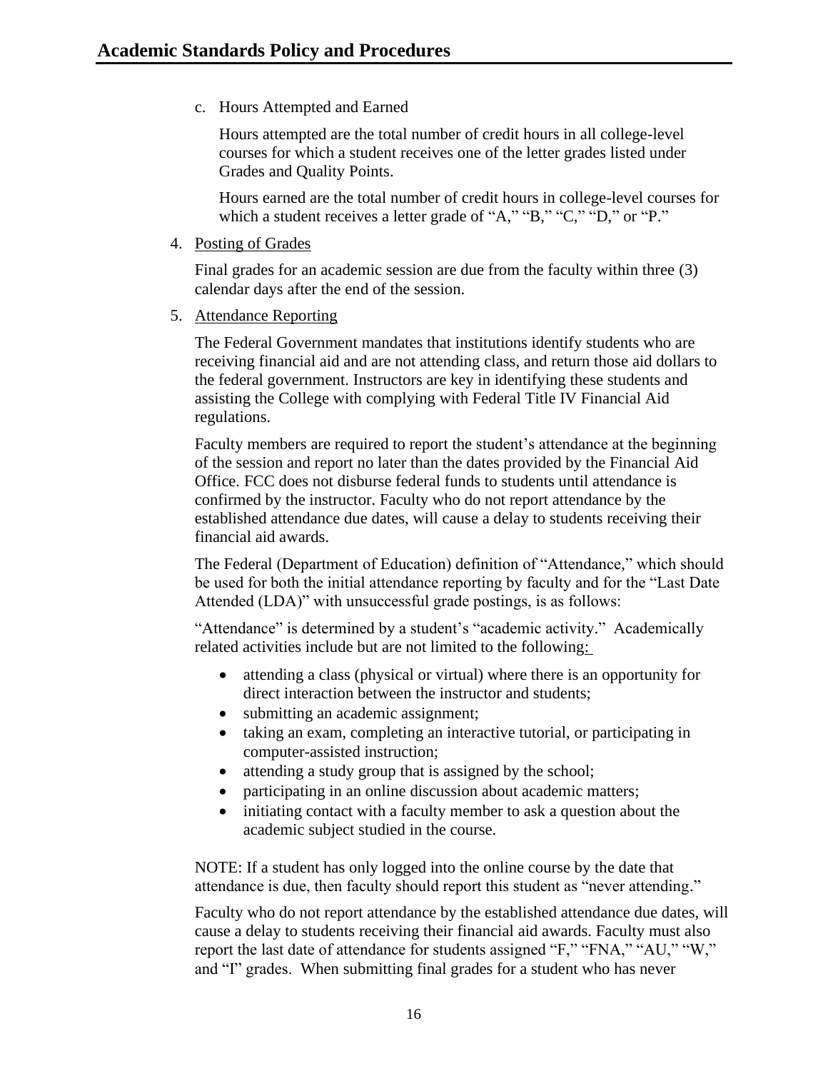c. Hours Attempted and Earned

Hours attempted are the total number of credit hours in all college-level courses for which a student receives one of the letter grades listed under [Grades and Quality Points.](http://www.cecil.edu/Catalog/Pages/Academic-Information-and-Standards.aspx#Quality)

Hours earned are the total number of credit hours in college-level courses for which a student receives a letter grade of "A," "B," "C," "D," or "P."

4. Posting of Grades

Final grades for an academic session are due from the faculty within three (3) calendar days after the end of the session.

5. Attendance Reporting

The Federal Government mandates that institutions identify students who are receiving financial aid and are not attending class, and return those aid dollars to the federal government. Instructors are key in identifying these students and assisting the College with complying with Federal Title IV Financial Aid regulations.

Faculty members are required to report the student's attendance at the beginning of the session and report no later than the dates provided by the Financial Aid Office. FCC does not disburse federal funds to students until attendance is confirmed by the instructor. Faculty who do not report attendance by the established attendance due dates, will cause a delay to students receiving their financial aid awards.

The Federal (Department of Education) definition of "Attendance," which should be used for both the initial attendance reporting by faculty and for the "Last Date Attended (LDA)" with unsuccessful grade postings, is as follows:

"Attendance" is determined by a student's "academic activity." Academically related activities include but are not limited to the following:

- attending a class (physical or virtual) where there is an opportunity for direct interaction between the instructor and students;
- submitting an academic assignment;
- taking an exam, completing an interactive tutorial, or participating in computer-assisted instruction;
- attending a study group that is assigned by the school;
- participating in an online discussion about academic matters;
- initiating contact with a faculty member to ask a question about the academic subject studied in the course.

NOTE: If a student has only logged into the online course by the date that attendance is due, then faculty should report this student as "never attending."

Faculty who do not report attendance by the established attendance due dates, will cause a delay to students receiving their financial aid awards. Faculty must also report the last date of attendance for students assigned "F," "FNA," "AU," "W," and "I" grades. When submitting final grades for a student who has never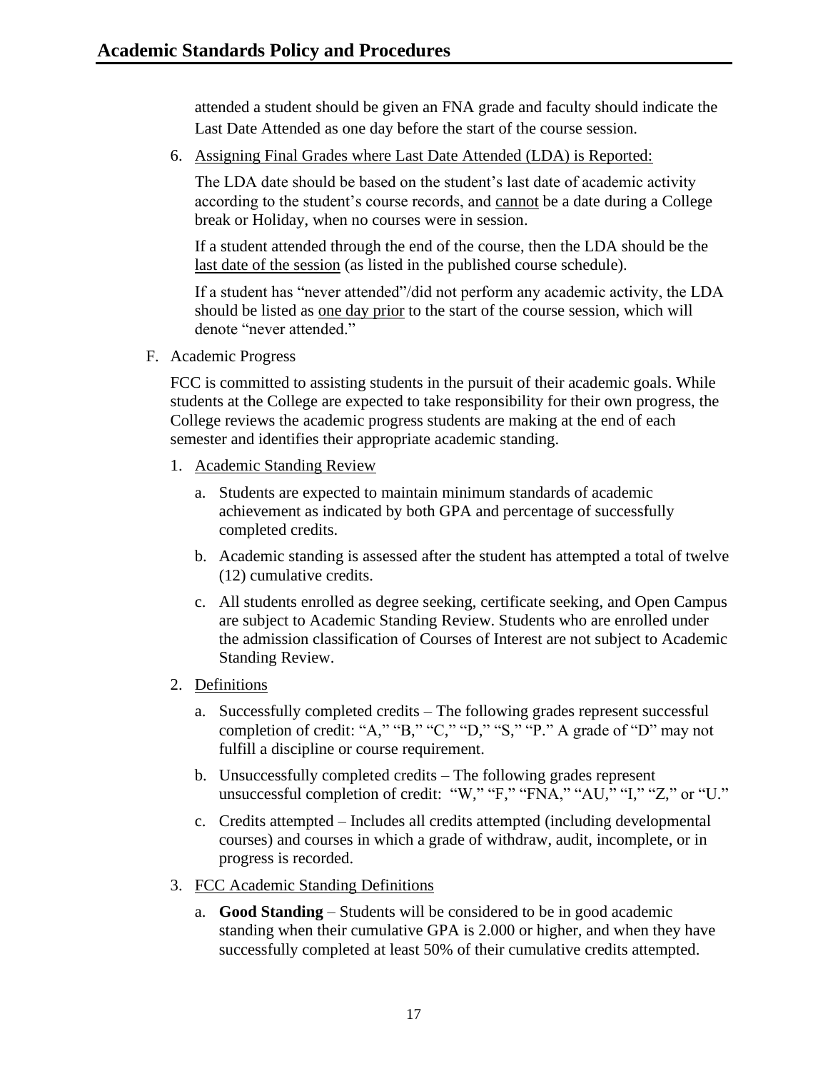attended a student should be given an FNA grade and faculty should indicate the Last Date Attended as one day before the start of the course session.

6. Assigning Final Grades where Last Date Attended (LDA) is Reported:

The LDA date should be based on the student's last date of academic activity according to the student's course records, and cannot be a date during a College break or Holiday, when no courses were in session.

If a student attended through the end of the course, then the LDA should be the last date of the session (as listed in the published course schedule).

If a student has "never attended"/did not perform any academic activity, the LDA should be listed as one day prior to the start of the course session, which will denote "never attended."

<span id="page-17-0"></span>F. Academic Progress

FCC is committed to assisting students in the pursuit of their academic goals. While students at the College are expected to take responsibility for their own progress, the College reviews the academic progress students are making at the end of each semester and identifies their appropriate academic standing.

- 1. Academic Standing Review
	- a. Students are expected to maintain minimum standards of academic achievement as indicated by both GPA and percentage of successfully completed credits.
	- b. Academic standing is assessed after the student has attempted a total of twelve (12) cumulative credits.
	- c. All students enrolled as degree seeking, certificate seeking, and Open Campus are subject to Academic Standing Review. Students who are enrolled under the admission classification of Courses of Interest are not subject to Academic Standing Review.
- 2. Definitions
	- a. Successfully completed credits The following grades represent successful completion of credit: "A," "B," "C," "D," "S," "P." A grade of "D" may not fulfill a discipline or course requirement.
	- b. Unsuccessfully completed credits The following grades represent unsuccessful completion of credit: "W," "F," "FNA," "AU," "I," "Z," or "U."
	- c. Credits attempted Includes all credits attempted (including developmental courses) and courses in which a grade of withdraw, audit, incomplete, or in progress is recorded.
- 3. FCC Academic Standing Definitions
	- a. **Good Standing** Students will be considered to be in good academic standing when their cumulative GPA is 2.000 or higher, and when they have successfully completed at least 50% of their cumulative credits attempted.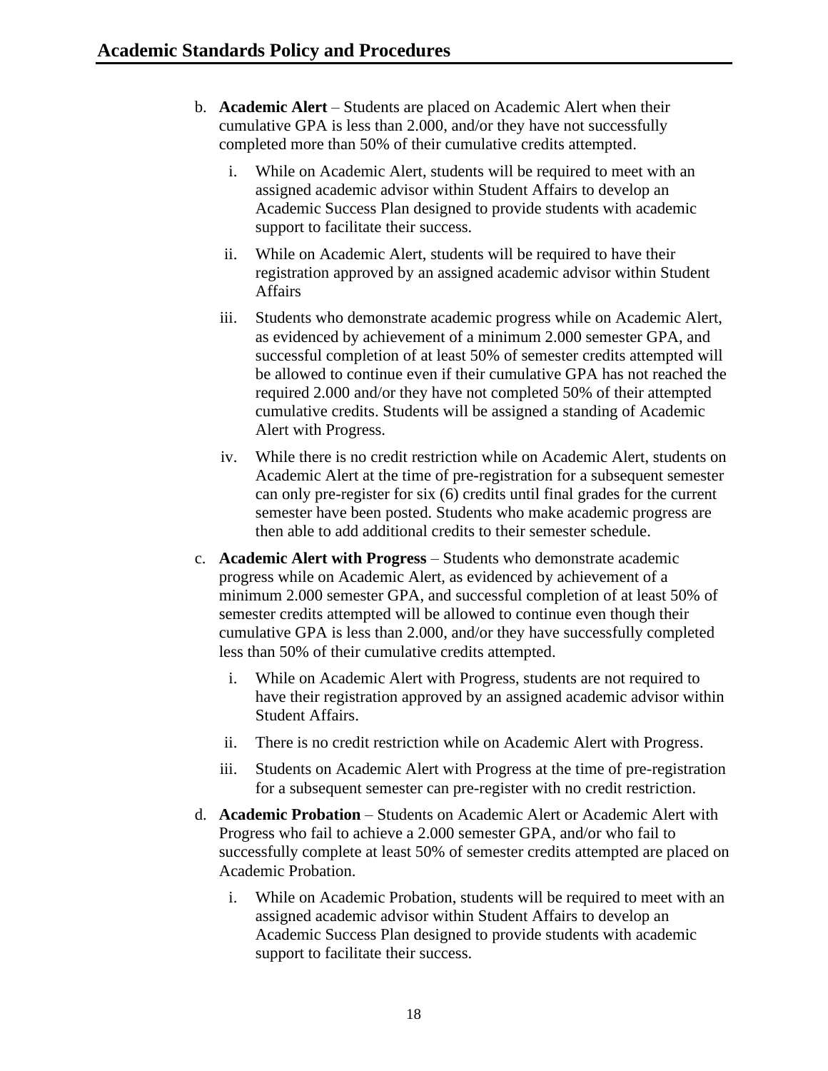- b. **Academic Alert** Students are placed on Academic Alert when their cumulative GPA is less than 2.000, and/or they have not successfully completed more than 50% of their cumulative credits attempted.
	- i. While on Academic Alert, students will be required to meet with an assigned academic advisor within Student Affairs to develop an Academic Success Plan designed to provide students with academic support to facilitate their success.
	- ii. While on Academic Alert, students will be required to have their registration approved by an assigned academic advisor within Student Affairs
	- iii. Students who demonstrate academic progress while on Academic Alert, as evidenced by achievement of a minimum 2.000 semester GPA, and successful completion of at least 50% of semester credits attempted will be allowed to continue even if their cumulative GPA has not reached the required 2.000 and/or they have not completed 50% of their attempted cumulative credits. Students will be assigned a standing of Academic Alert with Progress.
	- iv. While there is no credit restriction while on Academic Alert, students on Academic Alert at the time of pre-registration for a subsequent semester can only pre-register for six (6) credits until final grades for the current semester have been posted. Students who make academic progress are then able to add additional credits to their semester schedule.
- c. **Academic Alert with Progress** Students who demonstrate academic progress while on Academic Alert, as evidenced by achievement of a minimum 2.000 semester GPA, and successful completion of at least 50% of semester credits attempted will be allowed to continue even though their cumulative GPA is less than 2.000, and/or they have successfully completed less than 50% of their cumulative credits attempted.
	- i. While on Academic Alert with Progress, students are not required to have their registration approved by an assigned academic advisor within Student Affairs.
	- ii. There is no credit restriction while on Academic Alert with Progress.
	- iii. Students on Academic Alert with Progress at the time of pre-registration for a subsequent semester can pre-register with no credit restriction.
- d. **Academic Probation** Students on Academic Alert or Academic Alert with Progress who fail to achieve a 2.000 semester GPA, and/or who fail to successfully complete at least 50% of semester credits attempted are placed on Academic Probation.
	- i. While on Academic Probation, students will be required to meet with an assigned academic advisor within Student Affairs to develop an Academic Success Plan designed to provide students with academic support to facilitate their success.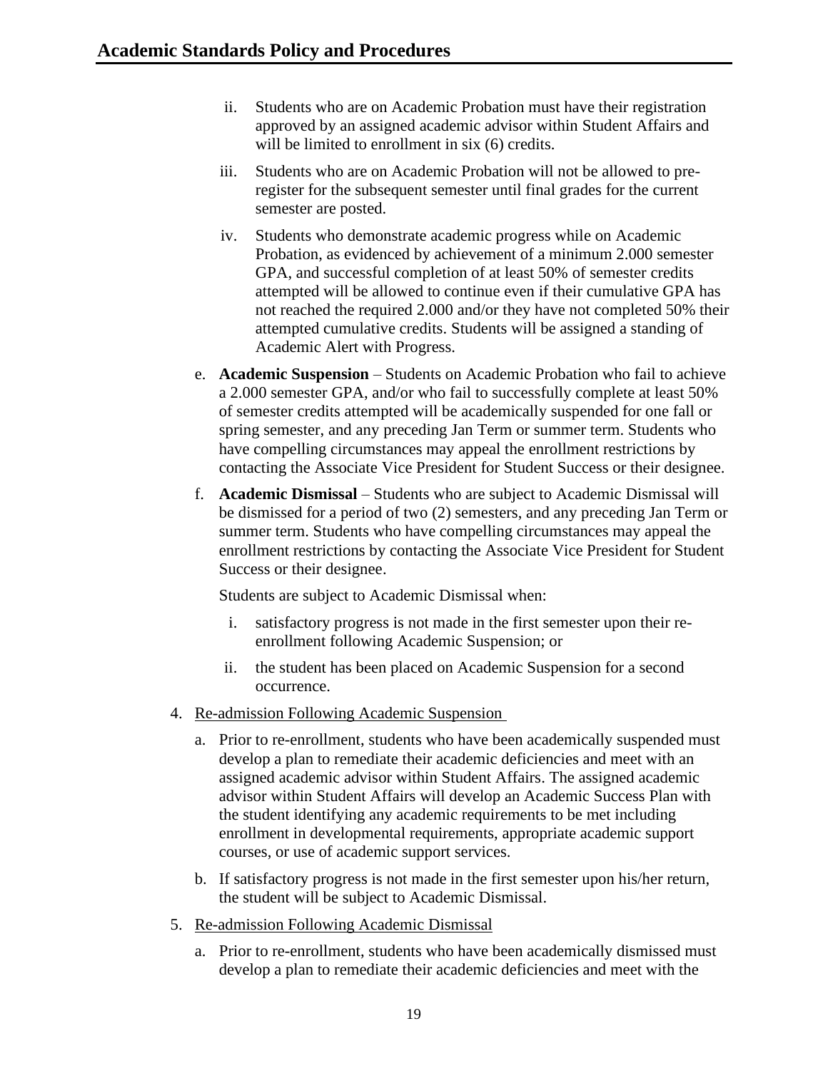- ii. Students who are on Academic Probation must have their registration approved by an assigned academic advisor within Student Affairs and will be limited to enrollment in six  $(6)$  credits.
- iii. Students who are on Academic Probation will not be allowed to preregister for the subsequent semester until final grades for the current semester are posted.
- iv. Students who demonstrate academic progress while on Academic Probation, as evidenced by achievement of a minimum 2.000 semester GPA, and successful completion of at least 50% of semester credits attempted will be allowed to continue even if their cumulative GPA has not reached the required 2.000 and/or they have not completed 50% their attempted cumulative credits. Students will be assigned a standing of Academic Alert with Progress.
- e. **Academic Suspension** Students on Academic Probation who fail to achieve a 2.000 semester GPA, and/or who fail to successfully complete at least 50% of semester credits attempted will be academically suspended for one fall or spring semester, and any preceding Jan Term or summer term. Students who have compelling circumstances may appeal the enrollment restrictions by contacting the Associate Vice President for Student Success or their designee.
- f. **Academic Dismissal** Students who are subject to Academic Dismissal will be dismissed for a period of two (2) semesters, and any preceding Jan Term or summer term. Students who have compelling circumstances may appeal the enrollment restrictions by contacting the Associate Vice President for Student Success or their designee.

Students are subject to Academic Dismissal when:

- i. satisfactory progress is not made in the first semester upon their reenrollment following Academic Suspension; or
- ii. the student has been placed on Academic Suspension for a second occurrence.
- 4. Re-admission Following Academic Suspension
	- a. Prior to re-enrollment, students who have been academically suspended must develop a plan to remediate their academic deficiencies and meet with an assigned academic advisor within Student Affairs. The assigned academic advisor within Student Affairs will develop an Academic Success Plan with the student identifying any academic requirements to be met including enrollment in developmental requirements, appropriate academic support courses, or use of academic support services.
	- b. If satisfactory progress is not made in the first semester upon his/her return, the student will be subject to Academic Dismissal.
- 5. Re-admission Following Academic Dismissal
	- a. Prior to re-enrollment, students who have been academically dismissed must develop a plan to remediate their academic deficiencies and meet with the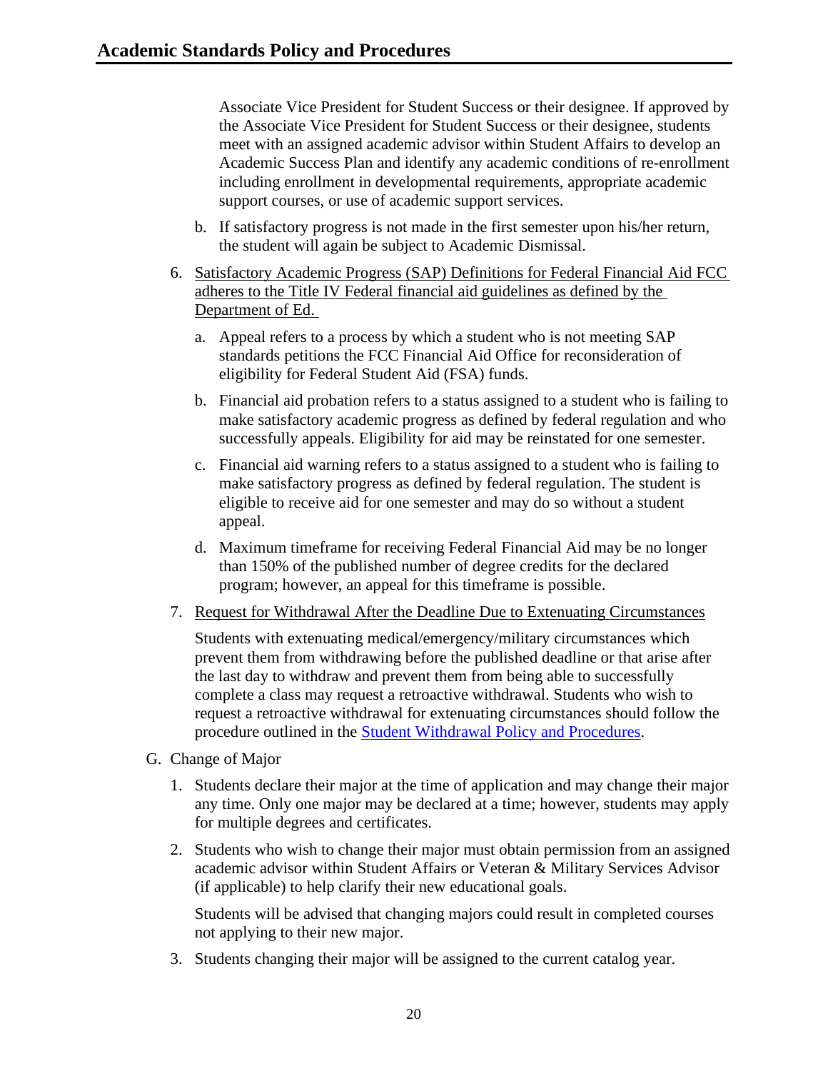Associate Vice President for Student Success or their designee. If approved by the Associate Vice President for Student Success or their designee, students meet with an assigned academic advisor within Student Affairs to develop an Academic Success Plan and identify any academic conditions of re-enrollment including enrollment in developmental requirements, appropriate academic support courses, or use of academic support services.

- b. If satisfactory progress is not made in the first semester upon his/her return, the student will again be subject to Academic Dismissal.
- 6. Satisfactory Academic Progress (SAP) Definitions for Federal Financial Aid FCC adheres to the Title IV Federal financial aid guidelines as defined by the Department of Ed.
	- a. Appeal refers to a process by which a student who is not meeting SAP standards petitions the FCC Financial Aid Office for reconsideration of eligibility for Federal Student Aid (FSA) funds.
	- b. Financial aid probation refers to a status assigned to a student who is failing to make satisfactory academic progress as defined by federal regulation and who successfully appeals. Eligibility for aid may be reinstated for one semester.
	- c. Financial aid warning refers to a status assigned to a student who is failing to make satisfactory progress as defined by federal regulation. The student is eligible to receive aid for one semester and may do so without a student appeal.
	- d. Maximum timeframe for receiving Federal Financial Aid may be no longer than 150% of the published number of degree credits for the declared program; however, an appeal for this timeframe is possible.
- 7. Request for Withdrawal After the Deadline Due to Extenuating Circumstances

Students with extenuating medical/emergency/military circumstances which prevent them from withdrawing before the published deadline or that arise after the last day to withdraw and prevent them from being able to successfully complete a class may request a retroactive withdrawal. Students who wish to request a retroactive withdrawal for extenuating circumstances should follow the procedure outlined in the [Student Withdrawal Policy and Procedures.](http://www.frederick.edu/student-withdrawal)

- <span id="page-20-0"></span>G. Change of Major
	- 1. Students declare their major at the time of application and may change their major any time. Only one major may be declared at a time; however, students may apply for multiple degrees and certificates.
	- 2. Students who wish to change their major must obtain permission from an assigned academic advisor within Student Affairs or Veteran & Military Services Advisor (if applicable) to help clarify their new educational goals.

Students will be advised that changing majors could result in completed courses not applying to their new major.

3. Students changing their major will be assigned to the current catalog year.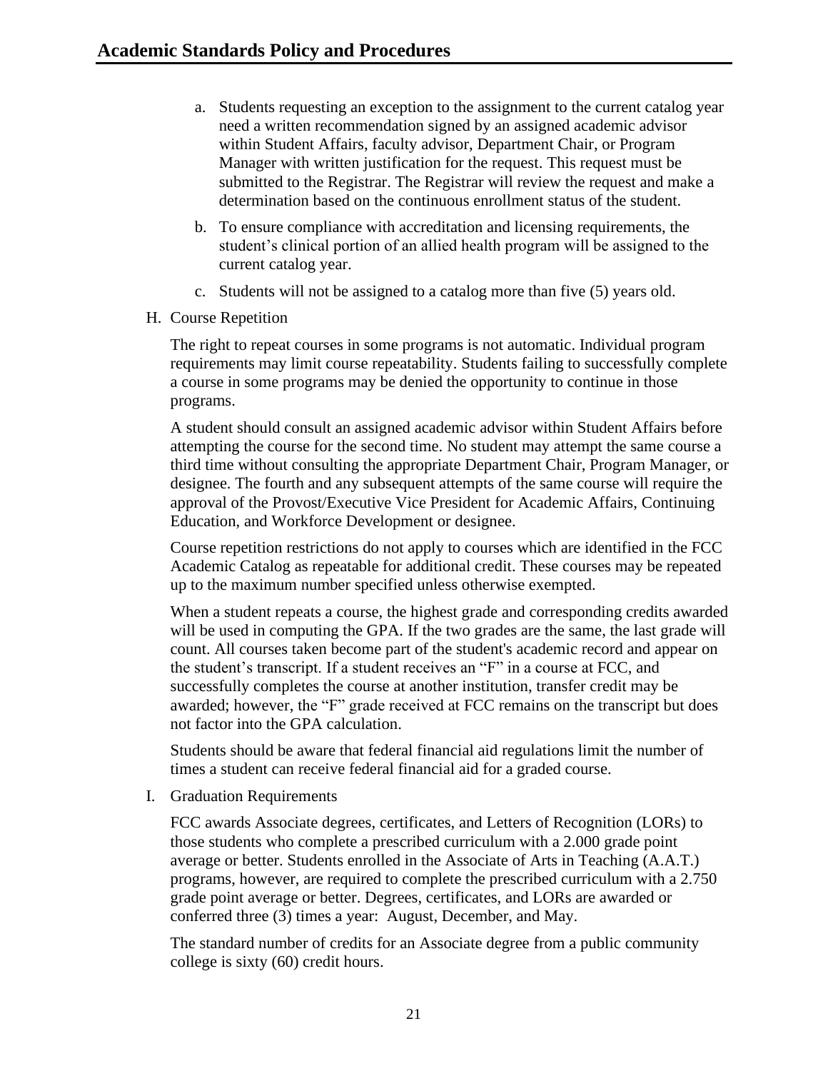- a. Students requesting an exception to the assignment to the current catalog year need a written recommendation signed by an assigned academic advisor within Student Affairs, faculty advisor, Department Chair, or Program Manager with written justification for the request. This request must be submitted to the Registrar. The Registrar will review the request and make a determination based on the continuous enrollment status of the student.
- b. To ensure compliance with accreditation and licensing requirements, the student's clinical portion of an allied health program will be assigned to the current catalog year.
- c. Students will not be assigned to a catalog more than five (5) years old.
- <span id="page-21-0"></span>H. Course Repetition

The right to repeat courses in some programs is not automatic. Individual program requirements may limit course repeatability. Students failing to successfully complete a course in some programs may be denied the opportunity to continue in those programs.

A student should consult an assigned academic advisor within Student Affairs before attempting the course for the second time. No student may attempt the same course a third time without consulting the appropriate Department Chair, Program Manager, or designee. The fourth and any subsequent attempts of the same course will require the approval of the Provost/Executive Vice President for Academic Affairs, Continuing Education, and Workforce Development or designee.

Course repetition restrictions do not apply to courses which are identified in the FCC Academic Catalog as repeatable for additional credit. These courses may be repeated up to the maximum number specified unless otherwise exempted.

When a student repeats a course, the highest grade and corresponding credits awarded will be used in computing the GPA. If the two grades are the same, the last grade will count. All courses taken become part of the student's academic record and appear on the student's transcript. If a student receives an "F" in a course at FCC, and successfully completes the course at another institution, transfer credit may be awarded; however, the "F" grade received at FCC remains on the transcript but does not factor into the GPA calculation.

Students should be aware that federal financial aid regulations limit the number of times a student can receive federal financial aid for a graded course.

<span id="page-21-1"></span>I. Graduation Requirements

FCC awards Associate degrees, certificates, and Letters of Recognition (LORs) to those students who complete a prescribed curriculum with a 2.000 grade point average or better. Students enrolled in the Associate of Arts in Teaching (A.A.T.) programs, however, are required to complete the prescribed curriculum with a 2.750 grade point average or better. Degrees, certificates, and LORs are awarded or conferred three (3) times a year: August, December, and May.

The standard number of credits for an Associate degree from a public community college is sixty (60) credit hours.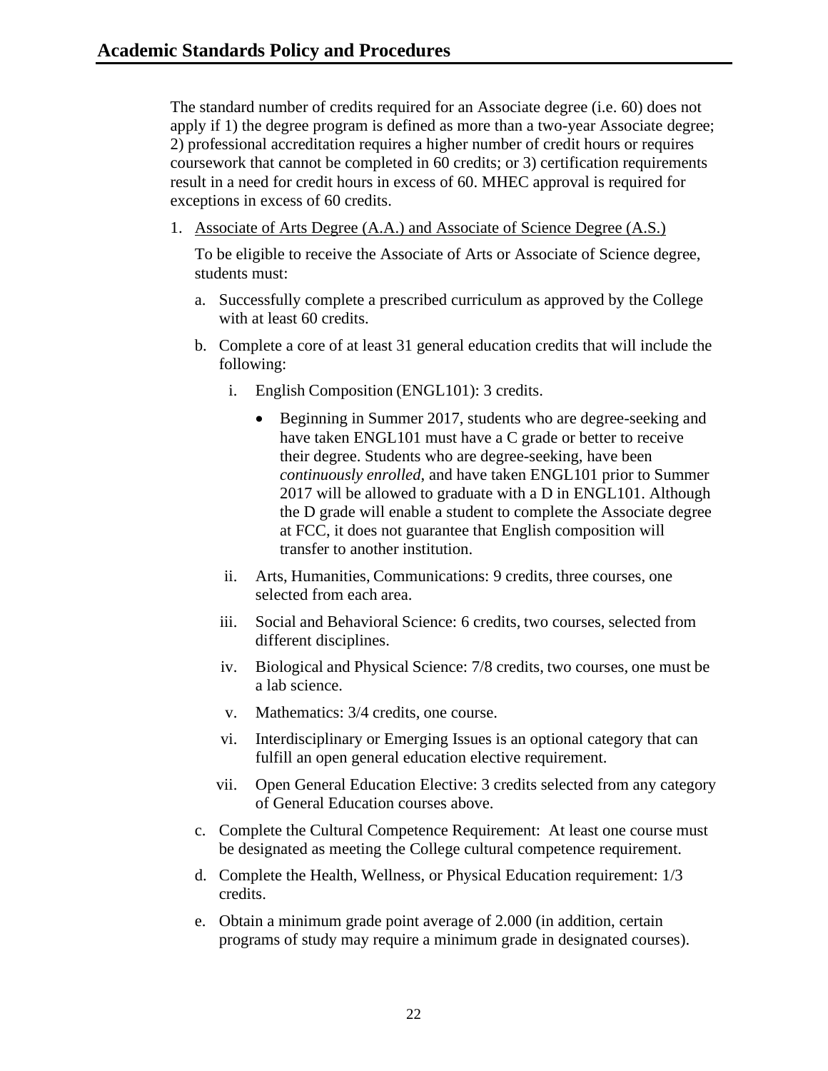The standard number of credits required for an Associate degree (i.e. 60) does not apply if 1) the degree program is defined as more than a two-year Associate degree; 2) professional accreditation requires a higher number of credit hours or requires coursework that cannot be completed in 60 credits; or 3) certification requirements result in a need for credit hours in excess of 60. MHEC approval is required for exceptions in excess of 60 credits.

1. Associate of Arts Degree (A.A.) and Associate of Science Degree (A.S.)

To be eligible to receive the Associate of Arts or Associate of Science degree, students must:

- a. Successfully complete a prescribed curriculum as approved by the College with at least 60 credits.
- b. Complete a core of at least 31 general education credits that will include the following:
	- i. English Composition (ENGL101): 3 credits.
		- Beginning in Summer 2017, students who are degree-seeking and have taken ENGL101 must have a C grade or better to receive their degree. Students who are degree-seeking, have been *continuously enrolled*, and have taken ENGL101 prior to Summer 2017 will be allowed to graduate with a D in ENGL101. Although the D grade will enable a student to complete the Associate degree at FCC, it does not guarantee that English composition will transfer to another institution.
	- ii. Arts, Humanities, Communications: 9 credits, three courses, one selected from each area.
	- iii. Social and Behavioral Science: 6 credits, two courses, selected from different disciplines.
	- iv. Biological and Physical Science: 7/8 credits, two courses, one must be a lab science.
	- v. Mathematics: 3/4 credits, one course.
	- vi. Interdisciplinary or Emerging Issues is an optional category that can fulfill an open general education elective requirement.
	- vii. Open General Education Elective: 3 credits selected from any category of General Education courses above.
- c. Complete the Cultural Competence Requirement: At least one course must be designated as meeting the College cultural competence requirement.
- d. Complete the Health, Wellness, or Physical Education requirement: 1/3 credits.
- e. Obtain a minimum grade point average of 2.000 (in addition, certain programs of study may require a minimum grade in designated courses).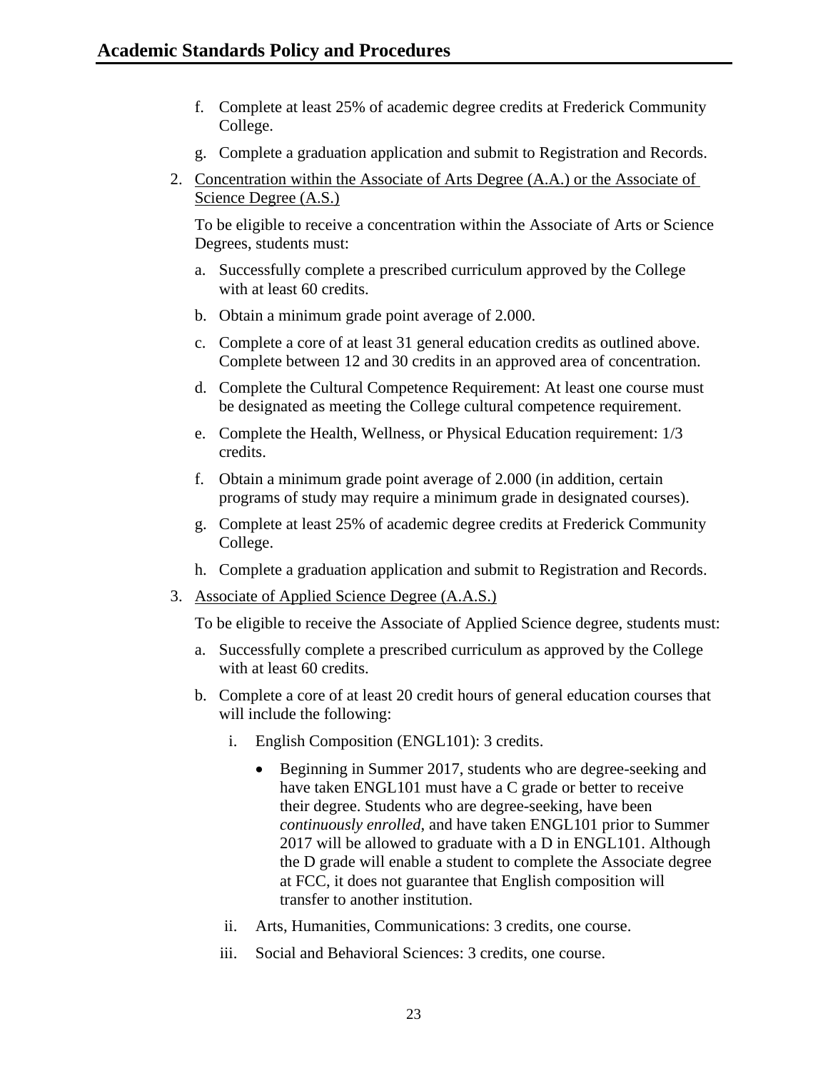- f. Complete at least 25% of academic degree credits at Frederick Community College.
- g. Complete a graduation application and submit to Registration and Records.
- 2. Concentration within the Associate of Arts Degree (A.A.) or the Associate of Science Degree (A.S.)

To be eligible to receive a concentration within the Associate of Arts or Science Degrees, students must:

- a. Successfully complete a prescribed curriculum approved by the College with at least 60 credits.
- b. Obtain a minimum grade point average of 2.000.
- c. Complete a core of at least 31 general education credits as outlined above. Complete between 12 and 30 credits in an approved area of concentration.
- d. Complete the Cultural Competence Requirement: At least one course must be designated as meeting the College cultural competence requirement.
- e. Complete the Health, Wellness, or Physical Education requirement: 1/3 credits.
- f. Obtain a minimum grade point average of 2.000 (in addition, certain programs of study may require a minimum grade in designated courses).
- g. Complete at least 25% of academic degree credits at Frederick Community College.
- h. Complete a graduation application and submit to Registration and Records.
- 3. Associate of Applied Science Degree (A.A.S.)

To be eligible to receive the Associate of Applied Science degree, students must:

- a. Successfully complete a prescribed curriculum as approved by the College with at least 60 credits.
- b. Complete a core of at least 20 credit hours of general education courses that will include the following:
	- i. English Composition (ENGL101): 3 credits.
		- Beginning in Summer 2017, students who are degree-seeking and have taken ENGL101 must have a C grade or better to receive their degree. Students who are degree-seeking, have been *continuously enrolled*, and have taken ENGL101 prior to Summer 2017 will be allowed to graduate with a D in ENGL101. Although the D grade will enable a student to complete the Associate degree at FCC, it does not guarantee that English composition will transfer to another institution.
	- ii. Arts, Humanities, Communications: 3 credits, one course.
	- iii. Social and Behavioral Sciences: 3 credits, one course.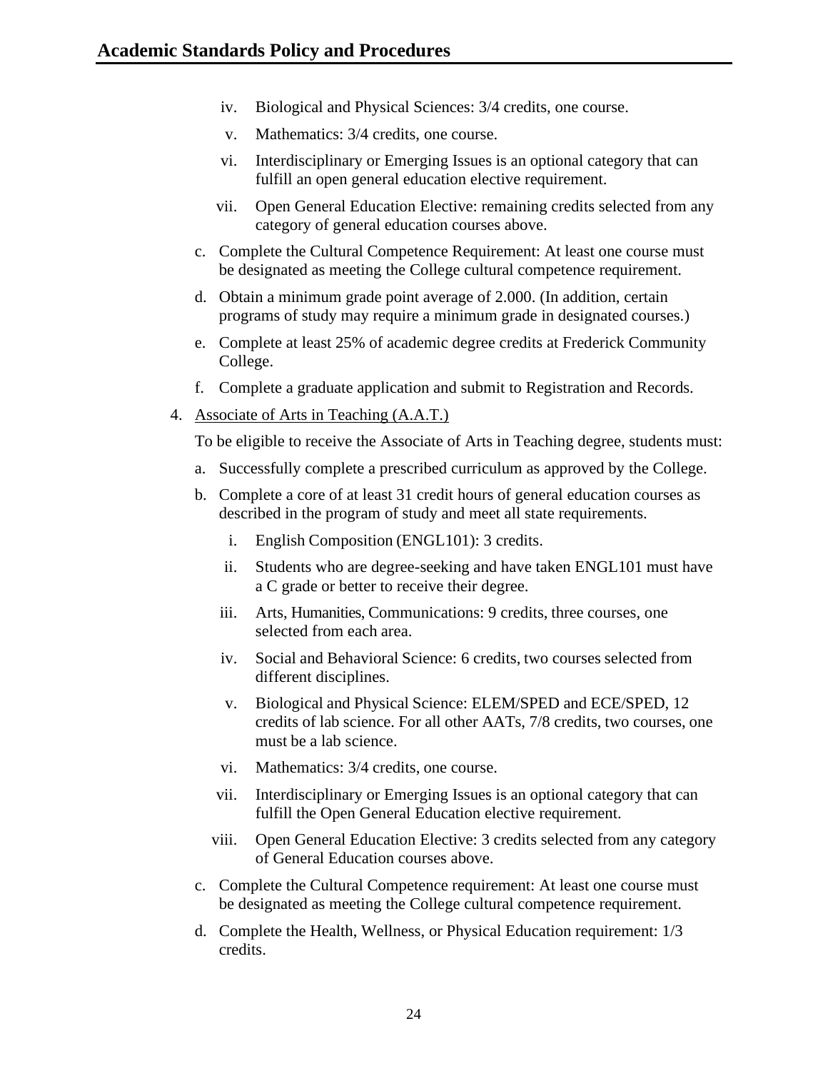- iv. Biological and Physical Sciences: 3/4 credits, one course.
- v. Mathematics: 3/4 credits, one course.
- vi. Interdisciplinary or Emerging Issues is an optional category that can fulfill an open general education elective requirement.
- vii. Open General Education Elective: remaining credits selected from any category of general education courses above.
- c. Complete the Cultural Competence Requirement: At least one course must be designated as meeting the College cultural competence requirement.
- d. Obtain a minimum grade point average of 2.000. (In addition, certain programs of study may require a minimum grade in designated courses.)
- e. Complete at least 25% of academic degree credits at Frederick Community College.
- f. Complete a graduate application and submit to Registration and Records.
- 4. Associate of Arts in Teaching (A.A.T.)

To be eligible to receive the Associate of Arts in Teaching degree, students must:

- a. Successfully complete a prescribed curriculum as approved by the College.
- b. Complete a core of at least 31 credit hours of general education courses as described in the program of study and meet all state requirements.
	- i. English Composition (ENGL101): 3 credits.
	- ii. Students who are degree-seeking and have taken ENGL101 must have a C grade or better to receive their degree.
	- iii. Arts, Humanities, Communications: 9 credits, three courses, one selected from each area.
	- iv. Social and Behavioral Science: 6 credits, two courses selected from different disciplines.
	- v. Biological and Physical Science: ELEM/SPED and ECE/SPED, 12 credits of lab science. For all other AATs, 7/8 credits, two courses, one must be a lab science.
	- vi. Mathematics: 3/4 credits, one course.
	- vii. Interdisciplinary or Emerging Issues is an optional category that can fulfill the Open General Education elective requirement.
	- viii. Open General Education Elective: 3 credits selected from any category of General Education courses above.
- c. Complete the Cultural Competence requirement: At least one course must be designated as meeting the College cultural competence requirement.
- d. Complete the Health, Wellness, or Physical Education requirement: 1/3 credits.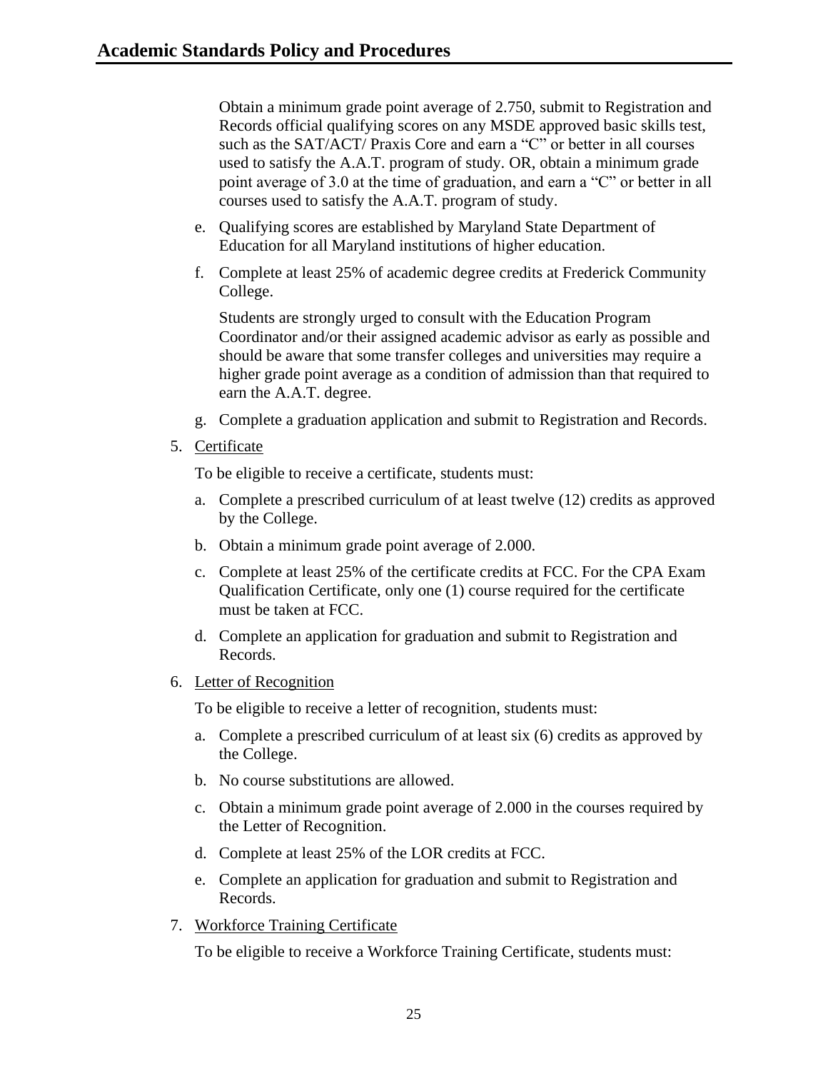Obtain a minimum grade point average of 2.750, submit to Registration and Records official qualifying scores on any MSDE approved basic skills test, such as the SAT/ACT/ Praxis Core and earn a "C" or better in all courses used to satisfy the A.A.T. program of study. OR, obtain a minimum grade point average of 3.0 at the time of graduation, and earn a "C" or better in all courses used to satisfy the A.A.T. program of study.

- e. Qualifying scores are established by Maryland State Department of Education for all Maryland institutions of higher education.
- f. Complete at least 25% of academic degree credits at Frederick Community College.

Students are strongly urged to consult with the Education Program Coordinator and/or their assigned academic advisor as early as possible and should be aware that some transfer colleges and universities may require a higher grade point average as a condition of admission than that required to earn the A.A.T. degree.

- g. Complete a graduation application and submit to Registration and Records.
- 5. Certificate

To be eligible to receive a certificate, students must:

- a. Complete a prescribed curriculum of at least twelve (12) credits as approved by the College.
- b. Obtain a minimum grade point average of 2.000.
- c. Complete at least 25% of the certificate credits at FCC. For the CPA Exam Qualification Certificate, only one (1) course required for the certificate must be taken at FCC.
- d. Complete an application for graduation and submit to Registration and Records.
- 6. Letter of Recognition

To be eligible to receive a letter of recognition, students must:

- a. Complete a prescribed curriculum of at least six (6) credits as approved by the College.
- b. No course substitutions are allowed.
- c. Obtain a minimum grade point average of 2.000 in the courses required by the Letter of Recognition.
- d. Complete at least 25% of the LOR credits at FCC.
- e. Complete an application for graduation and submit to Registration and Records.
- 7. Workforce Training Certificate

To be eligible to receive a Workforce Training Certificate, students must: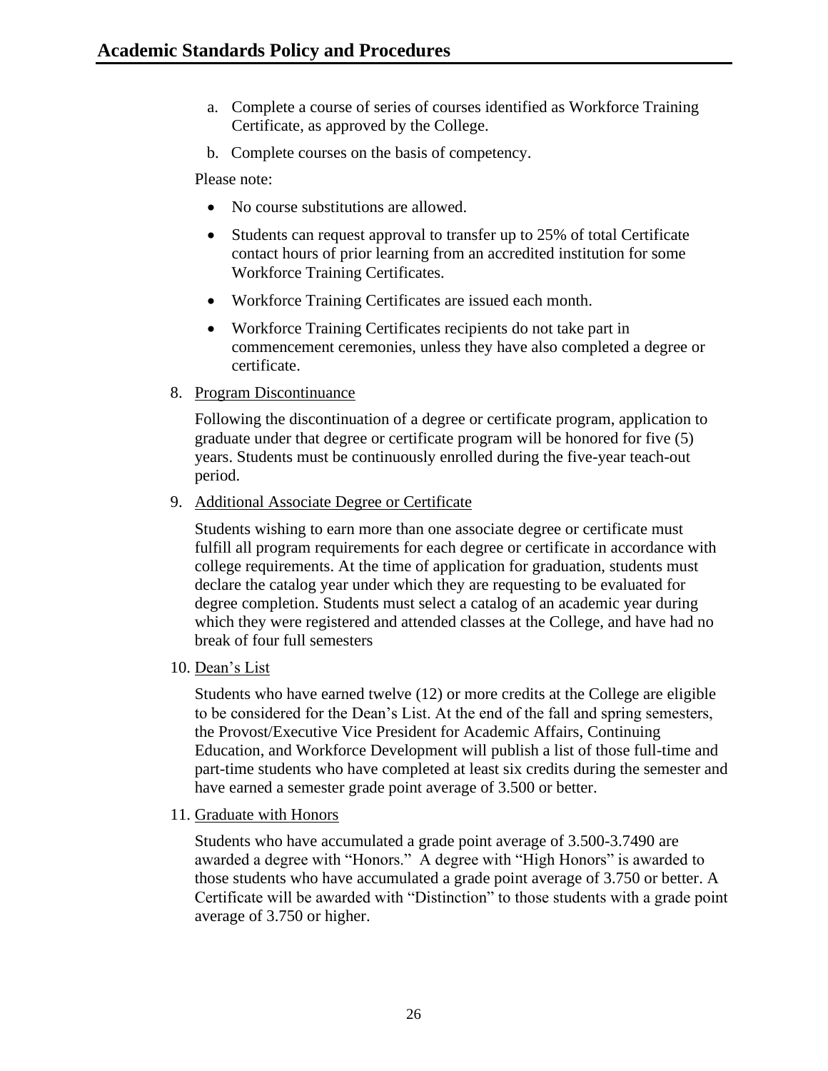- a. Complete a course of series of courses identified as Workforce Training Certificate, as approved by the College.
- b. Complete courses on the basis of competency.

Please note:

- No course substitutions are allowed.
- Students can request approval to transfer up to 25% of total Certificate contact hours of prior learning from an accredited institution for some Workforce Training Certificates.
- Workforce Training Certificates are issued each month.
- Workforce Training Certificates recipients do not take part in commencement ceremonies, unless they have also completed a degree or certificate.
- 8. Program Discontinuance

Following the discontinuation of a degree or certificate program, application to graduate under that degree or certificate program will be honored for five (5) years. Students must be continuously enrolled during the five-year teach-out period.

9. Additional Associate Degree or Certificate

Students wishing to earn more than one associate degree or certificate must fulfill all program requirements for each degree or certificate in accordance with college requirements. At the time of application for graduation, students must declare the catalog year under which they are requesting to be evaluated for degree completion. Students must select a catalog of an academic year during which they were registered and attended classes at the College, and have had no break of four full semesters

10. Dean's List

Students who have earned twelve (12) or more credits at the College are eligible to be considered for the Dean's List. At the end of the fall and spring semesters, the Provost/Executive Vice President for Academic Affairs, Continuing Education, and Workforce Development will publish a list of those full-time and part-time students who have completed at least six credits during the semester and have earned a semester grade point average of 3.500 or better.

11. Graduate with Honors

Students who have accumulated a grade point average of 3.500-3.7490 are awarded a degree with "Honors." A degree with "High Honors" is awarded to those students who have accumulated a grade point average of 3.750 or better. A Certificate will be awarded with "Distinction" to those students with a grade point average of 3.750 or higher.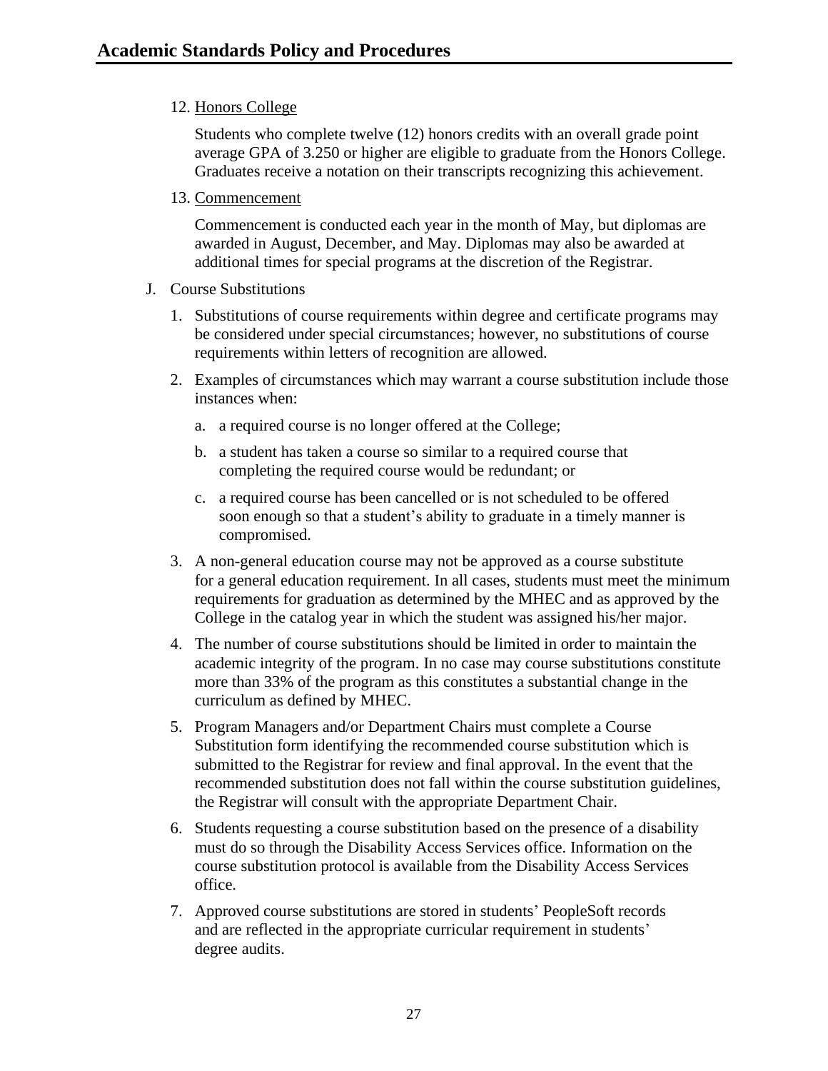12. Honors College

Students who complete twelve (12) honors credits with an overall grade point average GPA of 3.250 or higher are eligible to graduate from the Honors College. Graduates receive a notation on their transcripts recognizing this achievement.

13. Commencement

Commencement is conducted each year in the month of May, but diplomas are awarded in August, December, and May. Diplomas may also be awarded at additional times for special programs at the discretion of the Registrar.

- <span id="page-27-0"></span>J. Course Substitutions
	- 1. Substitutions of course requirements within degree and certificate programs may be considered under special circumstances; however, no substitutions of course requirements within letters of recognition are allowed.
	- 2. Examples of circumstances which may warrant a course substitution include those instances when:
		- a. a required course is no longer offered at the College;
		- b. a student has taken a course so similar to a required course that completing the required course would be redundant; or
		- c. a required course has been cancelled or is not scheduled to be offered soon enough so that a student's ability to graduate in a timely manner is compromised.
	- 3. A non-general education course may not be approved as a course substitute for a general education requirement. In all cases, students must meet the minimum requirements for graduation as determined by the MHEC and as approved by the College in the catalog year in which the student was assigned his/her major.
	- 4. The number of course substitutions should be limited in order to maintain the academic integrity of the program. In no case may course substitutions constitute more than 33% of the program as this constitutes a substantial change in the curriculum as defined by MHEC.
	- 5. Program Managers and/or Department Chairs must complete a Course Substitution form identifying the recommended course substitution which is submitted to the Registrar for review and final approval. In the event that the recommended substitution does not fall within the course substitution guidelines, the Registrar will consult with the appropriate Department Chair.
	- 6. Students requesting a course substitution based on the presence of a disability must do so through the Disability Access Services office. Information on the course substitution protocol is available from the Disability Access Services office.
	- 7. Approved course substitutions are stored in students' PeopleSoft records and are reflected in the appropriate curricular requirement in students' degree audits.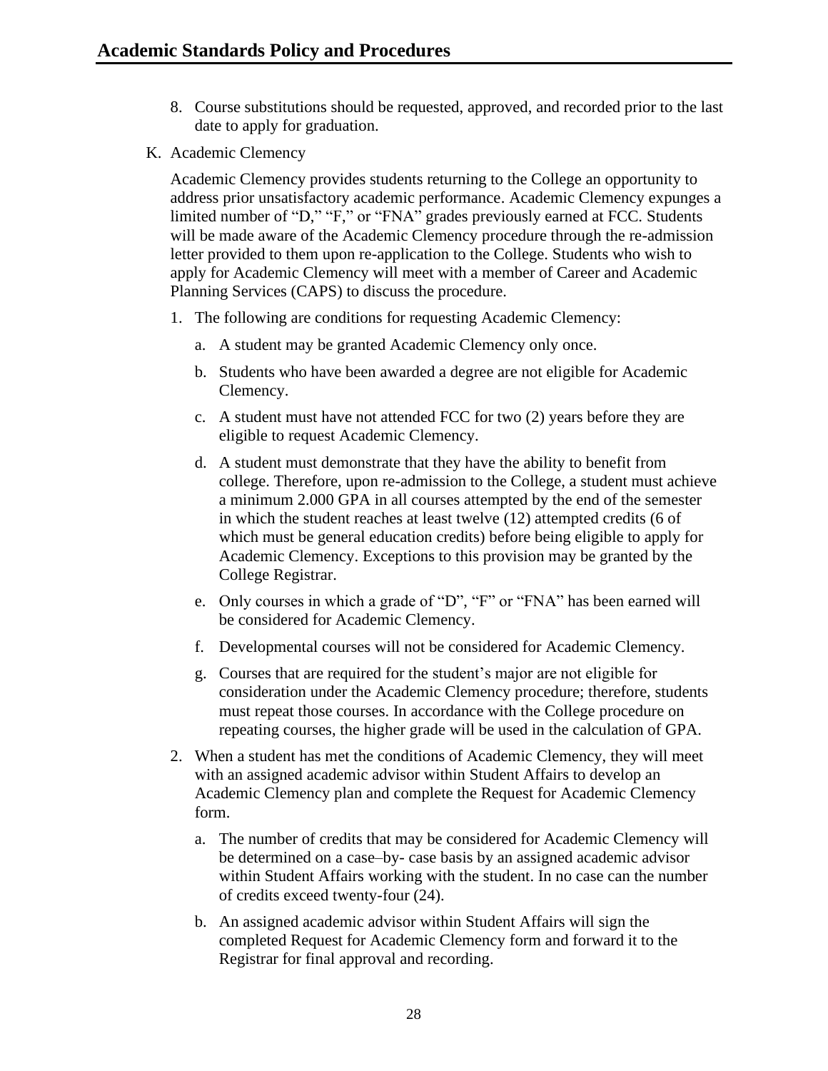- 8. Course substitutions should be requested, approved, and recorded prior to the last date to apply for graduation.
- <span id="page-28-0"></span>K. Academic Clemency

Academic Clemency provides students returning to the College an opportunity to address prior unsatisfactory academic performance. Academic Clemency expunges a limited number of "D," "F," or "FNA" grades previously earned at FCC. Students will be made aware of the Academic Clemency procedure through the re-admission letter provided to them upon re-application to the College. Students who wish to apply for Academic Clemency will meet with a member of Career and Academic Planning Services (CAPS) to discuss the procedure.

- 1. The following are conditions for requesting Academic Clemency:
	- a. A student may be granted Academic Clemency only once.
	- b. Students who have been awarded a degree are not eligible for Academic Clemency.
	- c. A student must have not attended FCC for two (2) years before they are eligible to request Academic Clemency.
	- d. A student must demonstrate that they have the ability to benefit from college. Therefore, upon re-admission to the College, a student must achieve a minimum 2.000 GPA in all courses attempted by the end of the semester in which the student reaches at least twelve (12) attempted credits (6 of which must be general education credits) before being eligible to apply for Academic Clemency. Exceptions to this provision may be granted by the College Registrar.
	- e. Only courses in which a grade of "D", "F" or "FNA" has been earned will be considered for Academic Clemency.
	- f. Developmental courses will not be considered for Academic Clemency.
	- g. Courses that are required for the student's major are not eligible for consideration under the Academic Clemency procedure; therefore, students must repeat those courses. In accordance with the College procedure on repeating courses, the higher grade will be used in the calculation of GPA.
- 2. When a student has met the conditions of Academic Clemency, they will meet with an assigned academic advisor within Student Affairs to develop an Academic Clemency plan and complete the Request for Academic Clemency form.
	- a. The number of credits that may be considered for Academic Clemency will be determined on a case–by- case basis by an assigned academic advisor within Student Affairs working with the student. In no case can the number of credits exceed twenty-four (24).
	- b. An assigned academic advisor within Student Affairs will sign the completed Request for Academic Clemency form and forward it to the Registrar for final approval and recording.